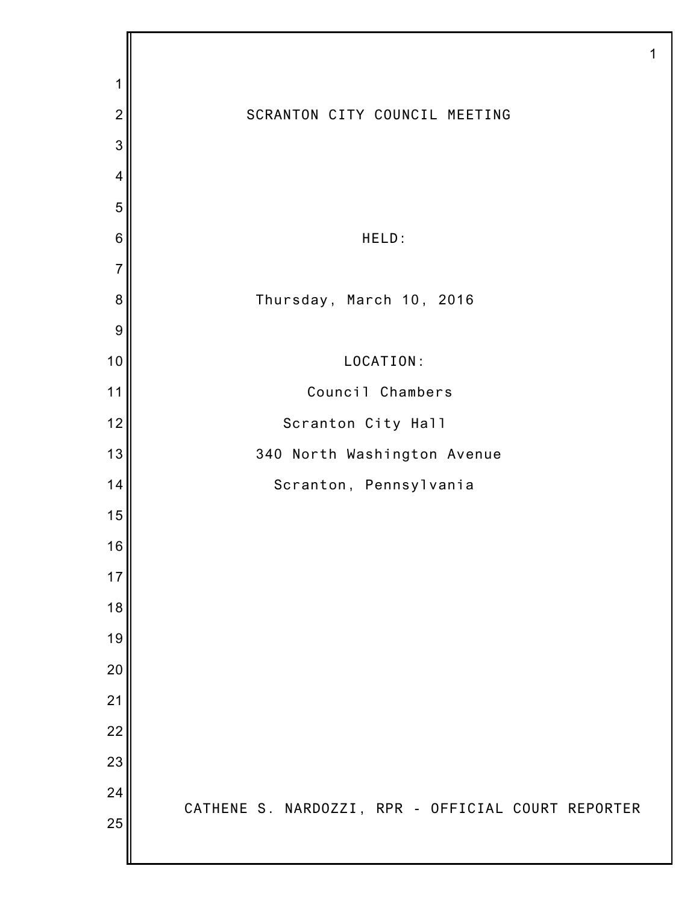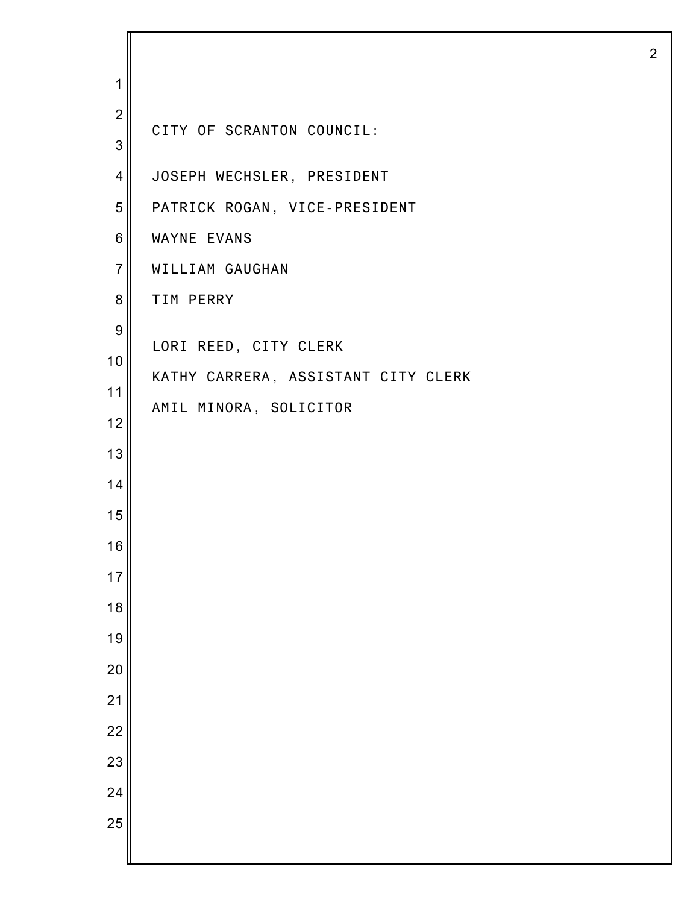| 1              |                                     |
|----------------|-------------------------------------|
| $\overline{2}$ |                                     |
| 3              | CITY OF SCRANTON COUNCIL:           |
| 4              | JOSEPH WECHSLER, PRESIDENT          |
| 5              | PATRICK ROGAN, VICE-PRESIDENT       |
| 6              | WAYNE EVANS                         |
| $\overline{7}$ | WILLIAM GAUGHAN                     |
| 8              | TIM PERRY                           |
| 9              |                                     |
| 10             | LORI REED, CITY CLERK               |
| 11             | KATHY CARRERA, ASSISTANT CITY CLERK |
| 12             | AMIL MINORA, SOLICITOR              |
| 13             |                                     |
| 14             |                                     |
| 15             |                                     |
| 16             |                                     |
| 17             |                                     |
| 18             |                                     |
| 19             |                                     |
| 20             |                                     |
| 21             |                                     |
| 22             |                                     |
| 23             |                                     |
| 24             |                                     |
| 25             |                                     |
|                |                                     |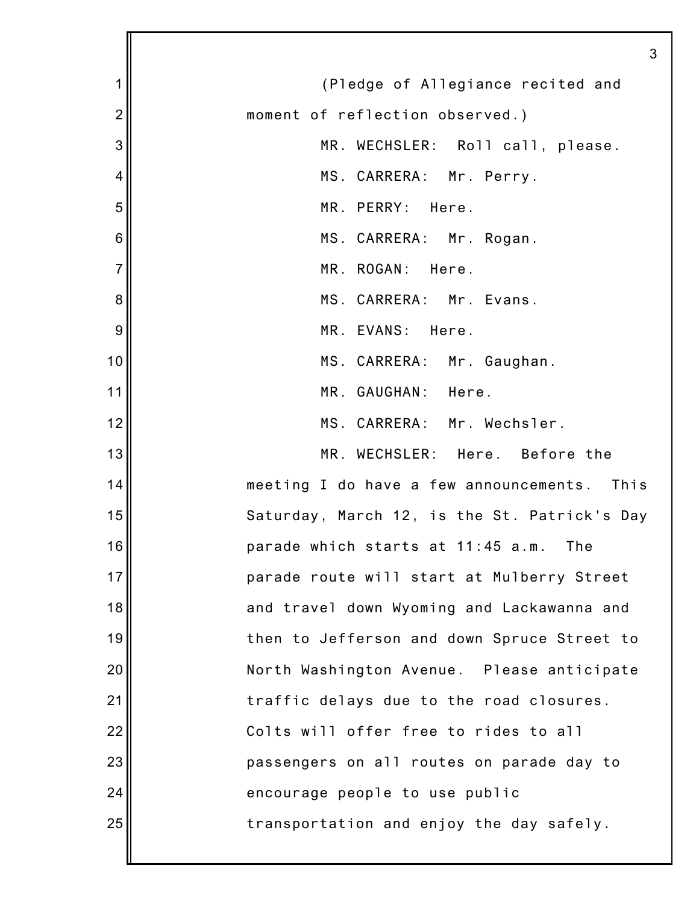|                | 3                                            |
|----------------|----------------------------------------------|
| 1              | (Pledge of Allegiance recited and            |
| $\overline{c}$ | moment of reflection observed.)              |
| 3              | MR. WECHSLER: Roll call, please.             |
| 4              | MS. CARRERA: Mr. Perry.                      |
| 5              | MR. PERRY: Here.                             |
| 6              | MS. CARRERA: Mr. Rogan.                      |
| $\overline{7}$ | MR. ROGAN: Here.                             |
| 8              | MS. CARRERA: Mr. Evans.                      |
| 9              | MR. EVANS: Here.                             |
| 10             | MS. CARRERA: Mr. Gaughan.                    |
| 11             | MR. GAUGHAN: Here.                           |
| 12             | MS. CARRERA: Mr. Wechsler.                   |
| 13             | MR. WECHSLER: Here. Before the               |
| 14             | meeting I do have a few announcements. This  |
| 15             | Saturday, March 12, is the St. Patrick's Day |
| 16             | parade which starts at 11:45 a.m.<br>The     |
| 17             | parade route will start at Mulberry Street   |
| 18             | and travel down Wyoming and Lackawanna and   |
| 19             | then to Jefferson and down Spruce Street to  |
| 20             | North Washington Avenue. Please anticipate   |
| 21             | traffic delays due to the road closures.     |
| 22             | Colts will offer free to rides to all        |
| 23             | passengers on all routes on parade day to    |
| 24             | encourage people to use public               |
| 25             | transportation and enjoy the day safely.     |
|                |                                              |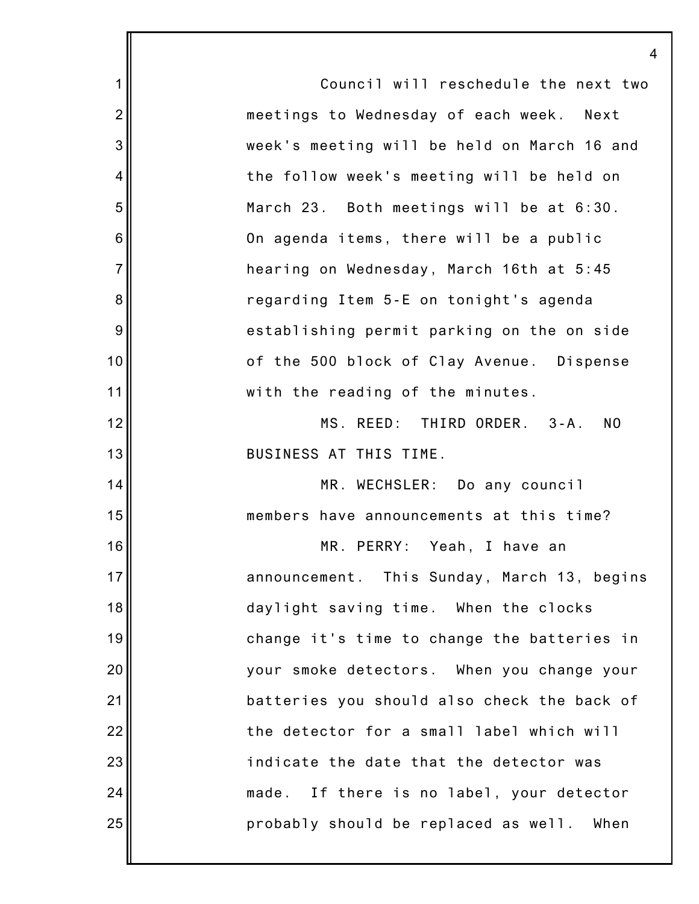1 2 3 4 5 6 7 8 9 10 11 12 13 14 15 16 17 18 19 20 21 22 23 24 25 4 Council will reschedule the next two meetings to Wednesday of each week. Next week's meeting will be held on March 16 and the follow week's meeting will be held on March 23. Both meetings will be at 6:30. On agenda items, there will be a public hearing on Wednesday, March 16th at 5:45 regarding Item 5-E on tonight's agenda establishing permit parking on the on side of the 500 block of Clay Avenue. Dispense with the reading of the minutes. MS. REED: THIRD ORDER. 3-A. NO BUSINESS AT THIS TIME. MR. WECHSLER: Do any council members have announcements at this time? MR. PERRY: Yeah, I have an announcement. This Sunday, March 13, begins daylight saving time. When the clocks change it's time to change the batteries in your smoke detectors. When you change your batteries you should also check the back of the detector for a small label which will indicate the date that the detector was made. If there is no label, your detector probably should be replaced as well. When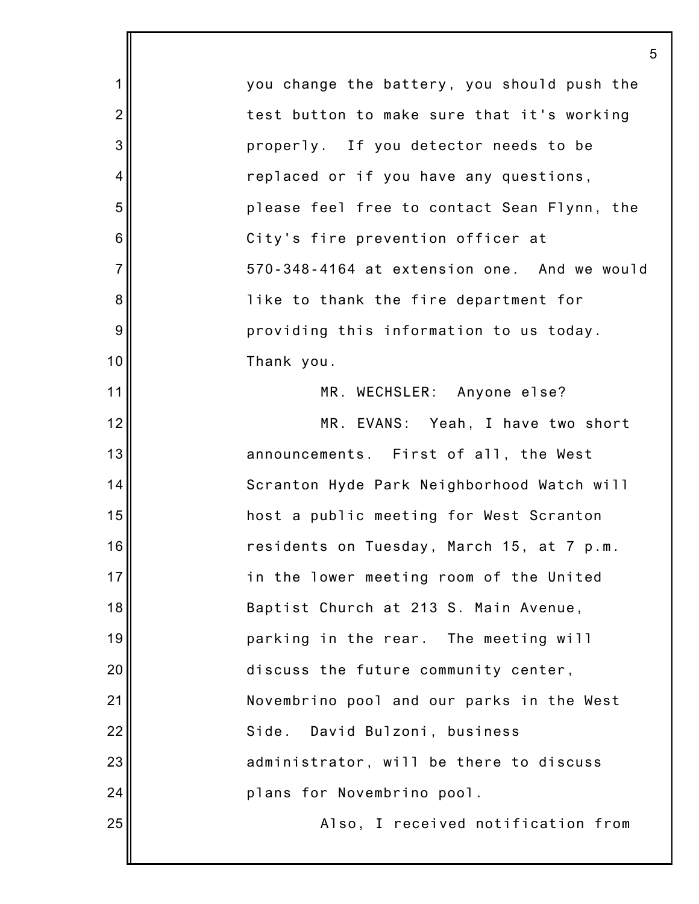1 2 3 4 5 6 7 8 9 10 11 12 13 14 15 16 17 18 19 20 21 22 23 24 25 5 you change the battery, you should push the test button to make sure that it's working properly. If you detector needs to be replaced or if you have any questions, please feel free to contact Sean Flynn, the City's fire prevention officer at 570-348-4164 at extension one. And we would like to thank the fire department for providing this information to us today. Thank you. MR. WECHSLER: Anyone else? MR. EVANS: Yeah, I have two short announcements. First of all, the West Scranton Hyde Park Neighborhood Watch will host a public meeting for West Scranton residents on Tuesday, March 15, at 7 p.m. in the lower meeting room of the United Baptist Church at 213 S. Main Avenue, parking in the rear. The meeting will discuss the future community center, Novembrino pool and our parks in the West Side. David Bulzoni, business administrator, will be there to discuss plans for Novembrino pool. Also, I received notification from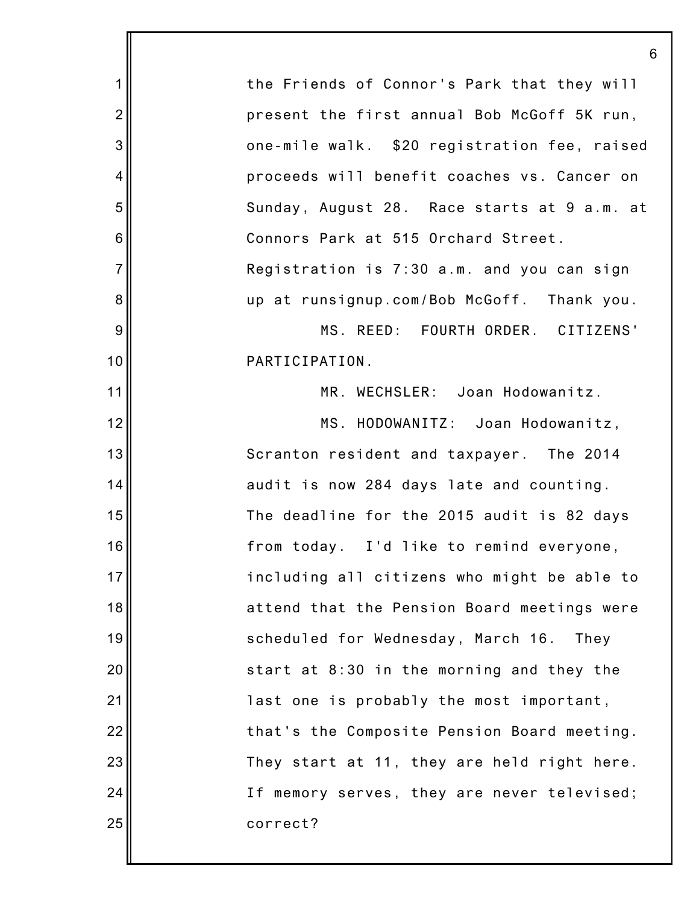1 2 3 4 5 6 7 8 9 10 11 12 13 14 15 16 17 18 19 20 21 22 23 24 25 6 the Friends of Connor's Park that they will present the first annual Bob McGoff 5K run, one-mile walk. \$20 registration fee, raised proceeds will benefit coaches vs. Cancer on Sunday, August 28. Race starts at 9 a.m. at Connors Park at 515 Orchard Street. Registration is 7:30 a.m. and you can sign up at runsignup.com/Bob McGoff. Thank you. MS. REED: FOURTH ORDER. CITIZENS' PARTICIPATION. MR. WECHSLER: Joan Hodowanitz. MS. HODOWANITZ: Joan Hodowanitz, Scranton resident and taxpayer. The 2014 audit is now 284 days late and counting. The deadline for the 2015 audit is 82 days from today. I'd like to remind everyone, including all citizens who might be able to attend that the Pension Board meetings were scheduled for Wednesday, March 16. They start at 8:30 in the morning and they the last one is probably the most important, that's the Composite Pension Board meeting. They start at 11, they are held right here. If memory serves, they are never televised; correct?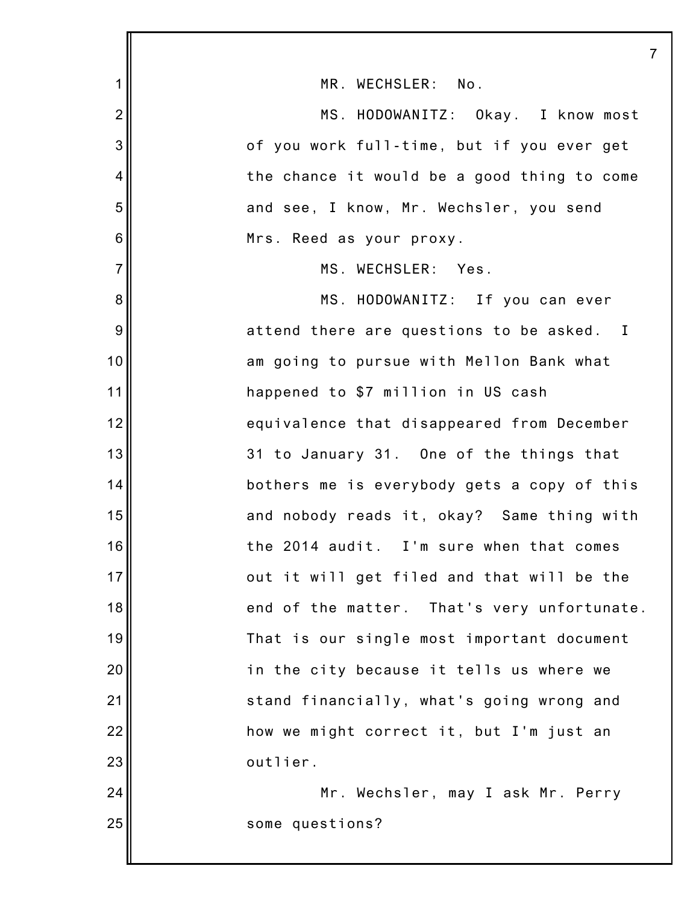|                |                                             | 7 |
|----------------|---------------------------------------------|---|
| 1              | MR. WECHSLER: No.                           |   |
| $\overline{2}$ | MS. HODOWANITZ: Okay. I know most           |   |
| 3              | of you work full-time, but if you ever get  |   |
| 4              | the chance it would be a good thing to come |   |
| 5              | and see, I know, Mr. Wechsler, you send     |   |
| 6              | Mrs. Reed as your proxy.                    |   |
| $\overline{7}$ | MS. WECHSLER: Yes.                          |   |
| 8              | MS. HODOWANITZ: If you can ever             |   |
| 9              | attend there are questions to be asked. I   |   |
| 10             | am going to pursue with Mellon Bank what    |   |
| 11             | happened to \$7 million in US cash          |   |
| 12             | equivalence that disappeared from December  |   |
| 13             | 31 to January 31. One of the things that    |   |
| 14             | bothers me is everybody gets a copy of this |   |
| 15             | and nobody reads it, okay? Same thing with  |   |
| 16             | the 2014 audit. I'm sure when that comes    |   |
| 17             | out it will get filed and that will be the  |   |
| 18             | end of the matter. That's very unfortunate. |   |
| 19             | That is our single most important document  |   |
| 20             | in the city because it tells us where we    |   |
| 21             | stand financially, what's going wrong and   |   |
| 22             | how we might correct it, but I'm just an    |   |
| 23             | outlier.                                    |   |
| 24             | Mr. Wechsler, may I ask Mr. Perry           |   |
| 25             | some questions?                             |   |
|                |                                             |   |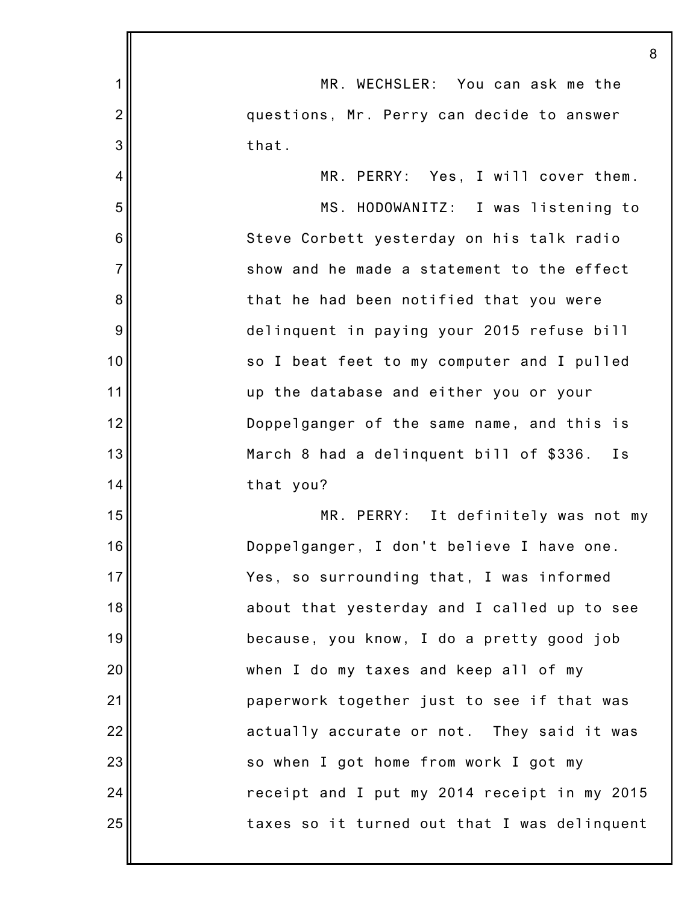|                | 8                                              |
|----------------|------------------------------------------------|
| 1              | MR. WECHSLER: You can ask me the               |
| $\overline{2}$ | questions, Mr. Perry can decide to answer      |
| 3              | that.                                          |
| 4              | MR. PERRY: Yes, I will cover them.             |
| 5              | MS. HODOWANITZ: I was listening to             |
| 6              | Steve Corbett yesterday on his talk radio      |
| $\overline{7}$ | show and he made a statement to the effect     |
| 8              | that he had been notified that you were        |
| 9              | delinquent in paying your 2015 refuse bill     |
| 10             | so I beat feet to my computer and I pulled     |
| 11             | up the database and either you or your         |
| 12             | Doppelganger of the same name, and this is     |
| 13             | March 8 had a delinquent bill of \$336.<br>I s |
| 14             | that you?                                      |
| 15             | MR. PERRY: It definitely was not my            |
| 16             | Doppelganger, I don't believe I have one.      |
| 17             | Yes, so surrounding that, I was informed       |
| 18             | about that yesterday and I called up to see    |
| 19             | because, you know, I do a pretty good job      |
| 20             | when I do my taxes and keep all of my          |
| 21             | paperwork together just to see if that was     |
| 22             | actually accurate or not. They said it was     |
| 23             | so when I got home from work I got my          |
| 24             | receipt and I put my 2014 receipt in my 2015   |
| 25             | taxes so it turned out that I was delinquent   |
|                |                                                |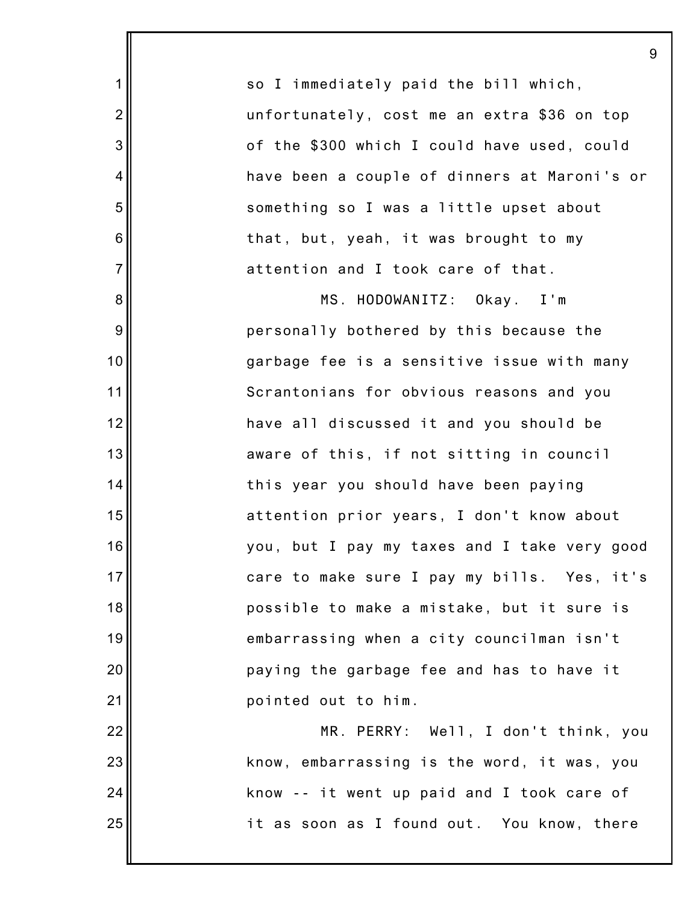so I immediately paid the bill which, unfortunately, cost me an extra \$36 on top of the \$300 which I could have used, could have been a couple of dinners at Maroni's or something so I was a little upset about that, but, yeah, it was brought to my attention and I took care of that.

1

2

3

4

5

6

7

8

9

10

11

12

13

14

15

16

17

18

19

20

21

22

23

24

25

MS. HODOWANITZ: Okay. I'm personally bothered by this because the garbage fee is a sensitive issue with many Scrantonians for obvious reasons and you have all discussed it and you should be aware of this, if not sitting in council this year you should have been paying attention prior years, I don't know about you, but I pay my taxes and I take very good care to make sure I pay my bills. Yes, it's possible to make a mistake, but it sure is embarrassing when a city councilman isn't paying the garbage fee and has to have it pointed out to him.

MR. PERRY: Well, I don't think, you know, embarrassing is the word, it was, you know -- it went up paid and I took care of it as soon as I found out. You know, there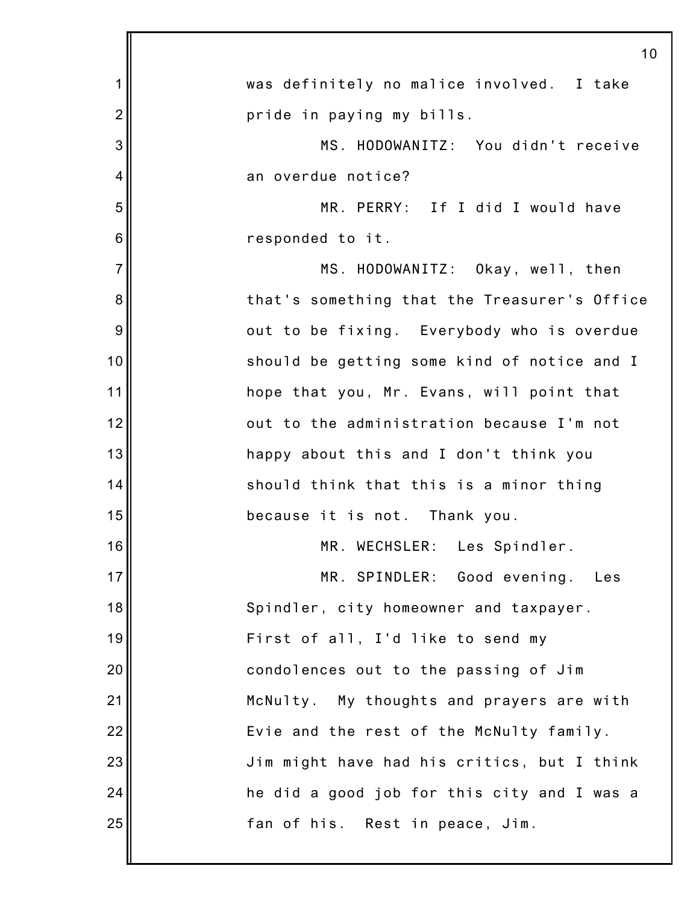|                | 10                                           |
|----------------|----------------------------------------------|
| 1              | was definitely no malice involved. I take    |
| $\overline{2}$ | pride in paying my bills.                    |
| 3              | MS. HODOWANITZ: You didn't receive           |
| 4              | an overdue notice?                           |
| 5              | MR. PERRY: If I did I would have             |
| 6              | responded to it.                             |
| $\overline{7}$ | MS. HODOWANITZ: Okay, well, then             |
| 8              | that's something that the Treasurer's Office |
| 9              | out to be fixing. Everybody who is overdue   |
| 10             | should be getting some kind of notice and I  |
| 11             | hope that you, Mr. Evans, will point that    |
| 12             | out to the administration because I'm not    |
| 13             | happy about this and I don't think you       |
| 14             | should think that this is a minor thing      |
| 15             | because it is not. Thank you.                |
| 16             | MR. WECHSLER: Les Spindler.                  |
| 17             | MR. SPINDLER: Good evening. Les              |
| 18             | Spindler, city homeowner and taxpayer.       |
| 19             | First of all, I'd like to send my            |
| 20             | condolences out to the passing of Jim        |
| 21             | McNulty. My thoughts and prayers are with    |
| 22             | Evie and the rest of the McNulty family.     |
| 23             | Jim might have had his critics, but I think  |
| 24             | he did a good job for this city and I was a  |
| 25             | fan of his. Rest in peace, Jim.              |
|                |                                              |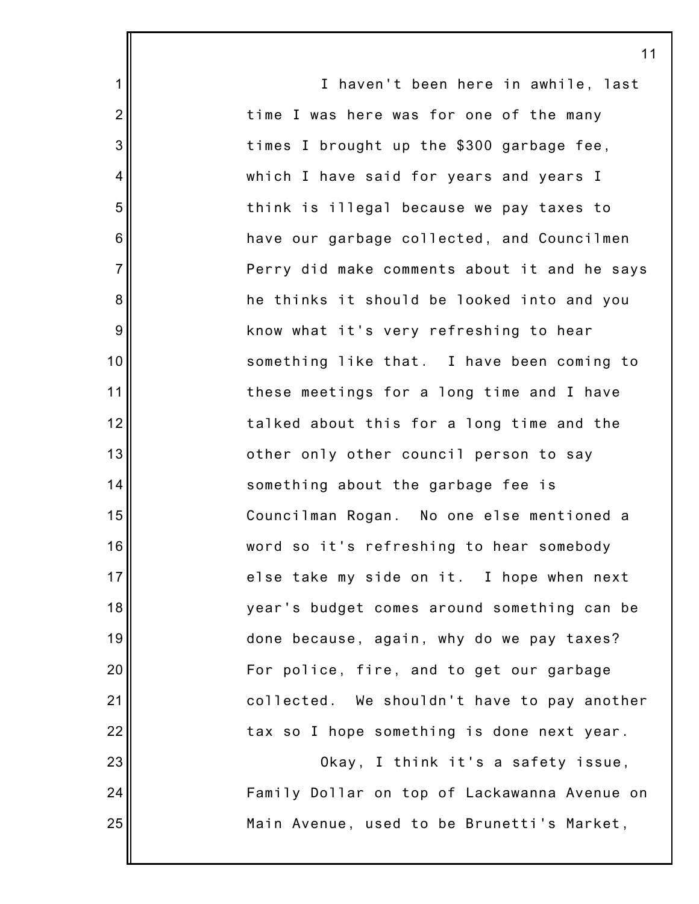|                  | 11                                           |
|------------------|----------------------------------------------|
| $\mathbf 1$      | I haven't been here in awhile, last          |
| $\overline{2}$   | time I was here was for one of the many      |
| $\mathbf{3}$     | times I brought up the \$300 garbage fee,    |
| 4                | which I have said for years and years I      |
| 5                | think is illegal because we pay taxes to     |
| 6                | have our garbage collected, and Councilmen   |
| $\overline{7}$   | Perry did make comments about it and he says |
| $\bf 8$          | he thinks it should be looked into and you   |
| $\boldsymbol{9}$ | know what it's very refreshing to hear       |
| 10               | something like that. I have been coming to   |
| 11               | these meetings for a long time and I have    |
| 12               | talked about this for a long time and the    |
| 13               | other only other council person to say       |
| 14               | something about the garbage fee is           |
| 15               | Councilman Rogan. No one else mentioned a    |
| 16               | word so it's refreshing to hear somebody     |
| 17               | else take my side on it. I hope when next    |
| 18               | year's budget comes around something can be  |
| 19               | done because, again, why do we pay taxes?    |
| 20               | For police, fire, and to get our garbage     |
| 21               | collected. We shouldn't have to pay another  |
| 22               | tax so I hope something is done next year.   |
| 23               | Okay, I think it's a safety issue,           |
| 24               | Family Dollar on top of Lackawanna Avenue on |
| 25               | Main Avenue, used to be Brunetti's Market,   |
|                  |                                              |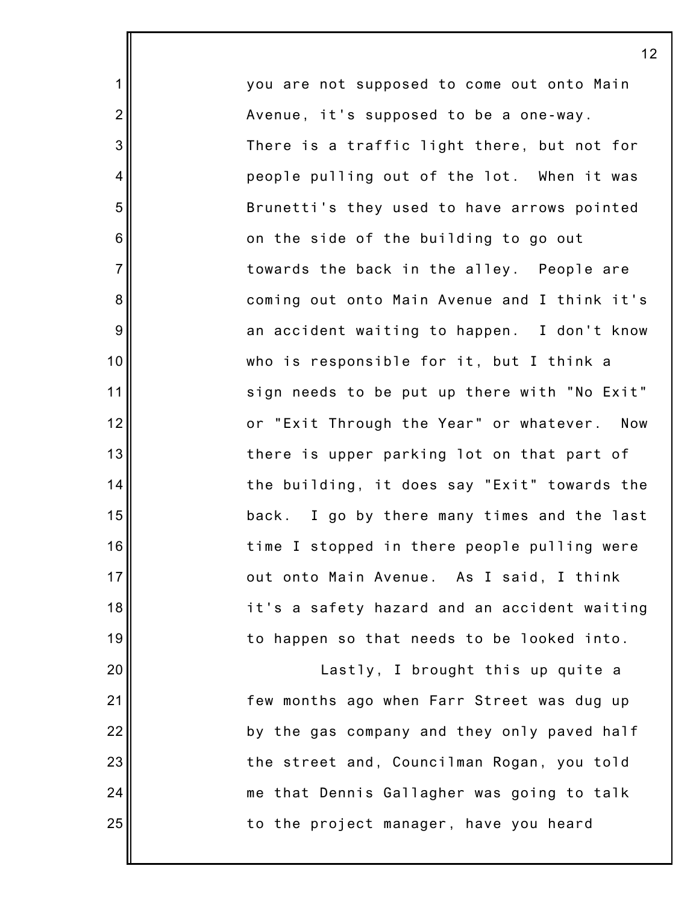you are not supposed to come out onto Main Avenue, it's supposed to be a one-way. There is a traffic light there, but not for people pulling out of the lot. When it was Brunetti's they used to have arrows pointed on the side of the building to go out towards the back in the alley. People are coming out onto Main Avenue and I think it's an accident waiting to happen. I don't know who is responsible for it, but I think a sign needs to be put up there with "No Exit" or "Exit Through the Year" or whatever. Now there is upper parking lot on that part of the building, it does say "Exit" towards the back. I go by there many times and the last time I stopped in there people pulling were out onto Main Avenue. As I said, I think it's a safety hazard and an accident waiting to happen so that needs to be looked into.

1

2

3

4

5

6

7

8

9

10

11

12

13

14

15

16

17

18

19

20

21

22

23

24

25

Lastly, I brought this up quite a few months ago when Farr Street was dug up by the gas company and they only paved half the street and, Councilman Rogan, you told me that Dennis Gallagher was going to talk to the project manager, have you heard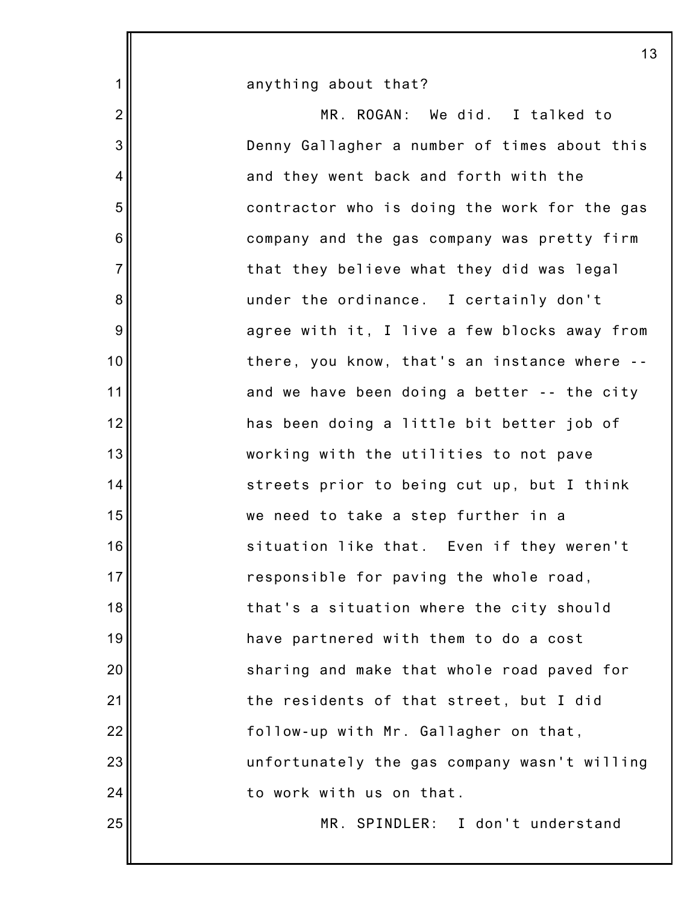| anything about that?                         |
|----------------------------------------------|
| MR. ROGAN: We did. I talked to               |
| Denny Gallagher a number of times about this |
| and they went back and forth with the        |
| contractor who is doing the work for the gas |
| company and the gas company was pretty firm  |
| that they believe what they did was legal    |
| under the ordinance. I certainly don't       |
| agree with it, I live a few blocks away from |
| there, you know, that's an instance where -- |
| and we have been doing a better -- the city  |
| has been doing a little bit better job of    |
| working with the utilities to not pave       |
| streets prior to being cut up, but I think   |
| we need to take a step further in a          |
| situation like that. Even if they weren't    |
| responsible for paving the whole road,       |
| that's a situation where the city should     |
| have partnered with them to do a cost        |
| sharing and make that whole road paved for   |
| the residents of that street, but I did      |
| follow-up with Mr. Gallagher on that,        |
| unfortunately the gas company wasn't willing |
| to work with us on that.                     |
| MR. SPINDLER: I don't understand             |
|                                              |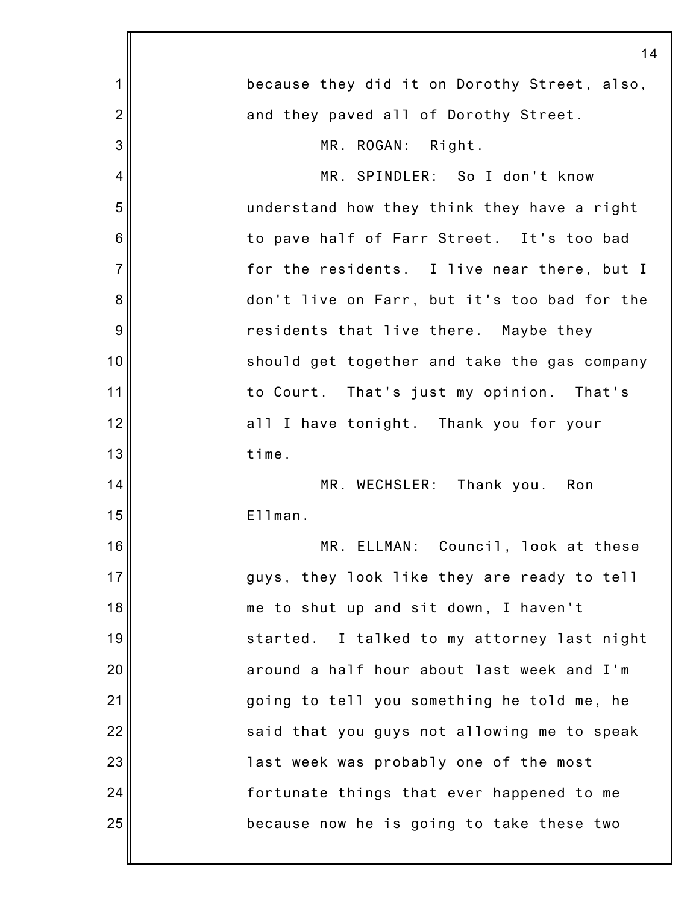|                | 14                                           |
|----------------|----------------------------------------------|
| 1              | because they did it on Dorothy Street, also, |
| $\overline{2}$ | and they paved all of Dorothy Street.        |
| 3              | MR. ROGAN: Right.                            |
| 4              | MR. SPINDLER: So I don't know                |
| 5              | understand how they think they have a right  |
| 6              | to pave half of Farr Street. It's too bad    |
| $\overline{7}$ | for the residents. I live near there, but I  |
| 8              | don't live on Farr, but it's too bad for the |
| 9              | residents that live there. Maybe they        |
| 10             | should get together and take the gas company |
| 11             | to Court. That's just my opinion. That's     |
| 12             | all I have tonight. Thank you for your       |
| 13             | time.                                        |
| 14             | MR. WECHSLER: Thank you. Ron                 |
| 15             | Ellman.                                      |
| 16             | MR. ELLMAN: Council, look at these           |
| 17             | guys, they look like they are ready to tell  |
| 18             | me to shut up and sit down, I haven't        |
| 19             | started. I talked to my attorney last night  |
| 20             | around a half hour about last week and I'm   |
| 21             | going to tell you something he told me, he   |
| 22             | said that you guys not allowing me to speak  |
| 23             | last week was probably one of the most       |
| 24             | fortunate things that ever happened to me    |
| 25             | because now he is going to take these two    |
|                |                                              |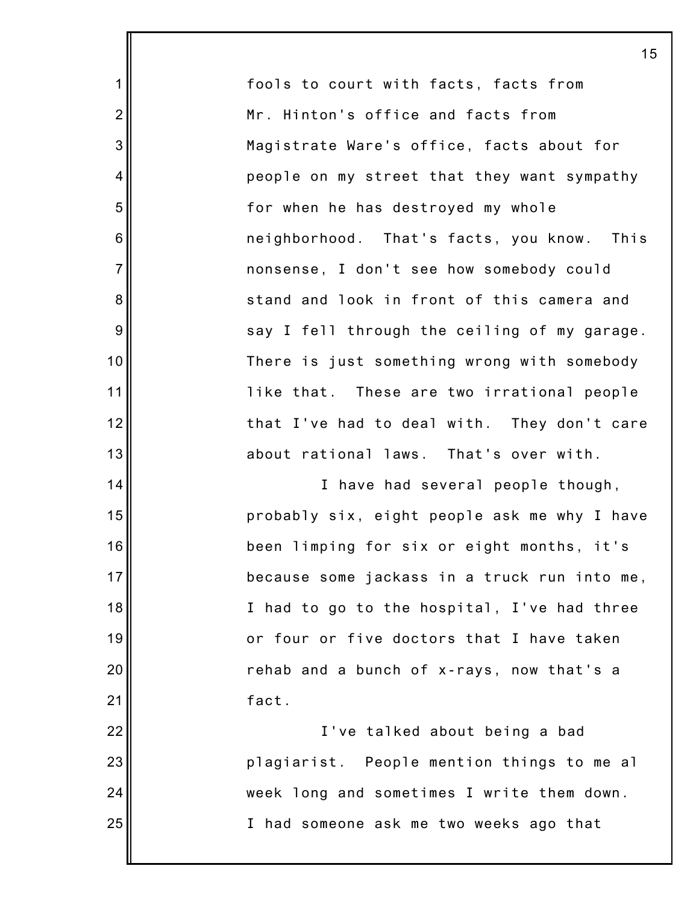fools to court with facts, facts from Mr. Hinton's office and facts from Magistrate Ware's office, facts about for people on my street that they want sympathy for when he has destroyed my whole neighborhood. That's facts, you know. This nonsense, I don't see how somebody could stand and look in front of this camera and say I fell through the ceiling of my garage. There is just something wrong with somebody like that. These are two irrational people that I've had to deal with. They don't care about rational laws. That's over with.

1

2

3

4

5

6

7

8

9

10

11

12

13

14

15

16

17

18

19

20

21

I have had several people though, probably six, eight people ask me why I have been limping for six or eight months, it's because some jackass in a truck run into me, I had to go to the hospital, I've had three or four or five doctors that I have taken rehab and a bunch of x-rays, now that's a fact.

22 23 24 25 I've talked about being a bad plagiarist. People mention things to me al week long and sometimes I write them down. I had someone ask me two weeks ago that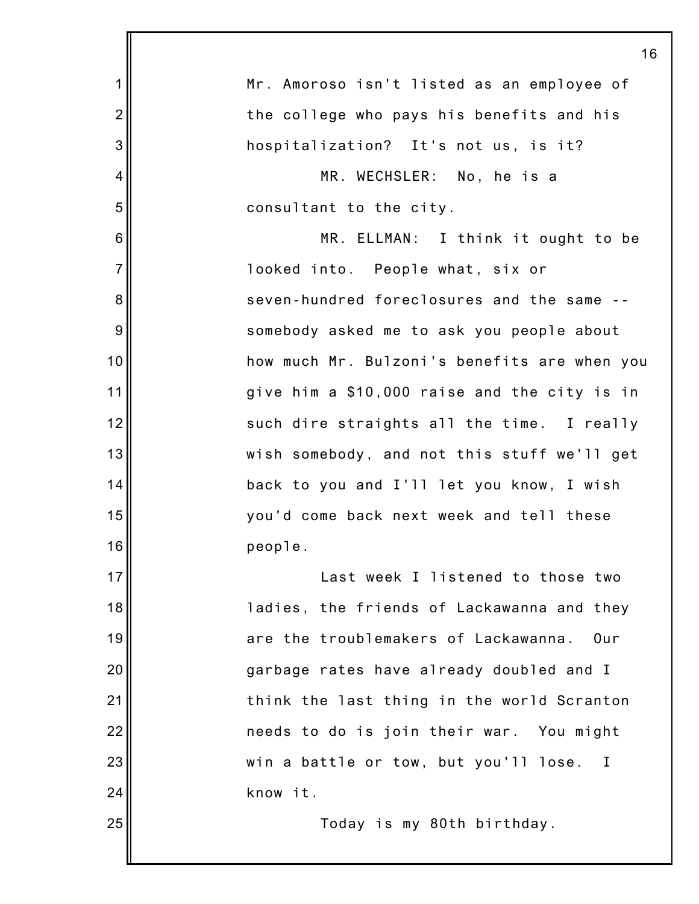|                | 16                                           |
|----------------|----------------------------------------------|
| 1              | Mr. Amoroso isn't listed as an employee of   |
| $\overline{2}$ | the college who pays his benefits and his    |
| 3              | hospitalization? It's not us, is it?         |
| 4              | MR. WECHSLER: No, he is a                    |
| 5              | consultant to the city.                      |
| 6              | MR. ELLMAN: I think it ought to be           |
| $\overline{7}$ | looked into. People what, six or             |
| 8              | seven-hundred foreclosures and the same --   |
| 9              | somebody asked me to ask you people about    |
| 10             | how much Mr. Bulzoni's benefits are when you |
| 11             | give him a \$10,000 raise and the city is in |
| 12             | such dire straights all the time. I really   |
| 13             | wish somebody, and not this stuff we'll get  |
| 14             | back to you and I'll let you know, I wish    |
| 15             | you'd come back next week and tell these     |
| 16             | people.                                      |
| 17             | Last week I listened to those two            |
| 18             | ladies, the friends of Lackawanna and they   |
| 19             | are the troublemakers of Lackawanna.<br>Our  |
| 20             | garbage rates have already doubled and I     |
| 21             | think the last thing in the world Scranton   |
| 22             | needs to do is join their war. You might     |
| 23             | win a battle or tow, but you'll lose. I      |
| 24             | know it.                                     |
| 25             | Today is my 80th birthday.                   |
|                |                                              |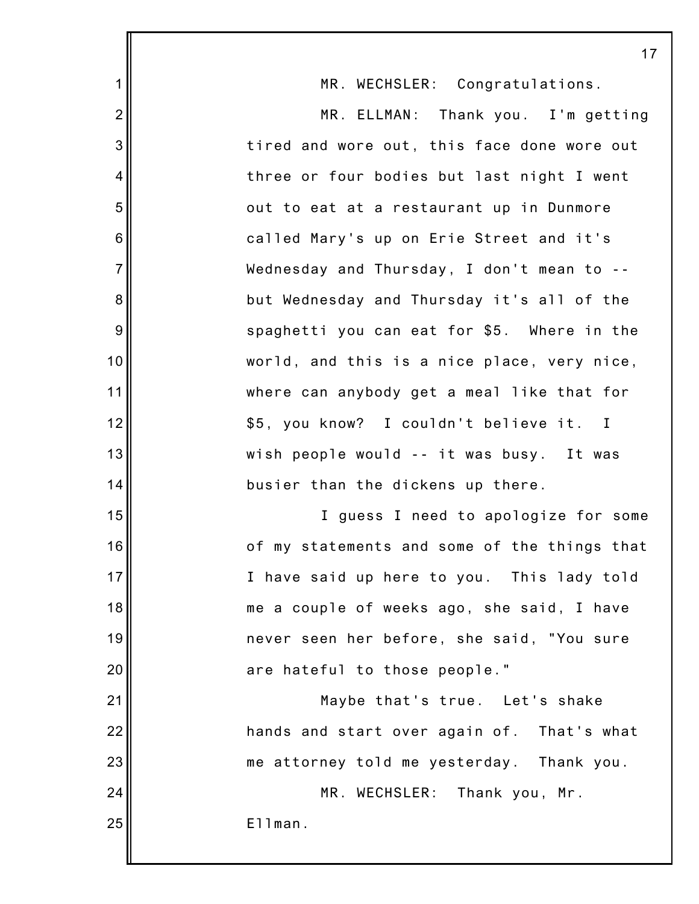|                | 17                                                      |
|----------------|---------------------------------------------------------|
| 1              | MR. WECHSLER: Congratulations.                          |
| $\overline{2}$ | MR. ELLMAN: Thank you. I'm getting                      |
| 3              | tired and wore out, this face done wore out             |
| 4              | three or four bodies but last night I went              |
| 5              | out to eat at a restaurant up in Dunmore                |
| 6              | called Mary's up on Erie Street and it's                |
| $\overline{7}$ | Wednesday and Thursday, I don't mean to --              |
| 8              | but Wednesday and Thursday it's all of the              |
| 9              | spaghetti you can eat for \$5. Where in the             |
| 10             | world, and this is a nice place, very nice,             |
| 11             | where can anybody get a meal like that for              |
| 12             | \$5, you know? I couldn't believe it.<br>$\blacksquare$ |
| 13             | wish people would -- it was busy. It was                |
| 14             | busier than the dickens up there.                       |
| 15             | I guess I need to apologize for some                    |
| 16             | of my statements and some of the things that            |
| 17             | I have said up here to you. This lady told              |
| 18             | me a couple of weeks ago, she said, I have              |
| 19             | never seen her before, she said, "You sure              |
| 20             | are hateful to those people."                           |
| 21             | Maybe that's true. Let's shake                          |
| 22             | hands and start over again of. That's what              |
| 23             | me attorney told me yesterday. Thank you.               |
| 24             | MR. WECHSLER: Thank you, Mr.                            |
| 25             | Ellman.                                                 |
|                |                                                         |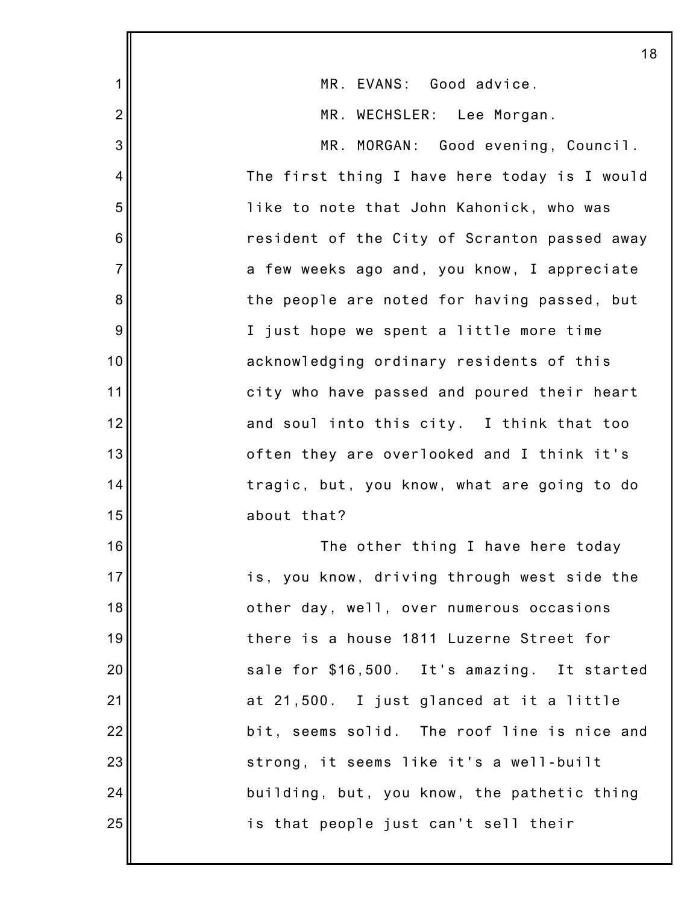|                | 18                                           |
|----------------|----------------------------------------------|
| 1              | MR. EVANS: Good advice.                      |
| $\overline{2}$ | MR. WECHSLER: Lee Morgan.                    |
| 3              | MR. MORGAN: Good evening, Council.           |
| 4              | The first thing I have here today is I would |
| 5              | like to note that John Kahonick, who was     |
| 6              | resident of the City of Scranton passed away |
| $\overline{7}$ | a few weeks ago and, you know, I appreciate  |
| 8              | the people are noted for having passed, but  |
| 9              | I just hope we spent a little more time      |
| 10             | acknowledging ordinary residents of this     |
| 11             | city who have passed and poured their heart  |
| 12             | and soul into this city. I think that too    |
| 13             | often they are overlooked and I think it's   |
| 14             | tragic, but, you know, what are going to do  |
| 15             | about that?                                  |
| 16             | The other thing I have here today            |
| 17             | is, you know, driving through west side the  |
| 18             | other day, well, over numerous occasions     |
| 19             | there is a house 1811 Luzerne Street for     |
| 20             | sale for \$16,500. It's amazing. It started  |
| 21             | at 21,500. I just glanced at it a little     |
| 22             | bit, seems solid. The roof line is nice and  |
| 23             | strong, it seems like it's a well-built      |
| 24             | building, but, you know, the pathetic thing  |
| 25             | is that people just can't sell their         |
|                |                                              |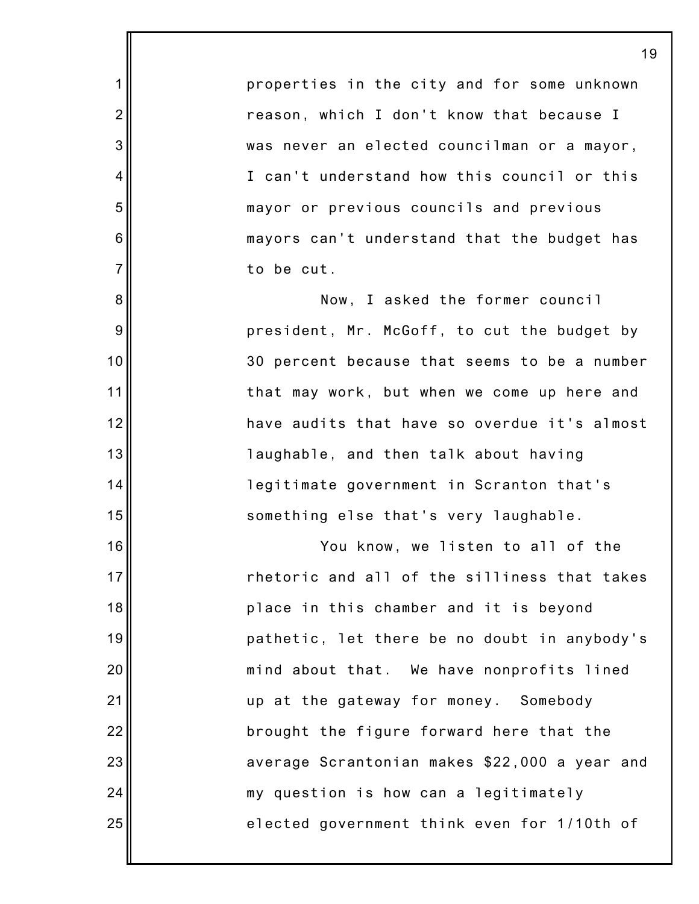properties in the city and for some unknown reason, which I don't know that because I was never an elected councilman or a mayor, I can't understand how this council or this mayor or previous councils and previous mayors can't understand that the budget has to be cut.

1

2

3

4

5

6

7

8

9

10

11

12

13

14

15

16

17

18

19

20

21

22

23

24

25

Now, I asked the former council president, Mr. McGoff, to cut the budget by 30 percent because that seems to be a number that may work, but when we come up here and have audits that have so overdue it's almost laughable, and then talk about having legitimate government in Scranton that's something else that's very laughable.

You know, we listen to all of the rhetoric and all of the silliness that takes place in this chamber and it is beyond pathetic, let there be no doubt in anybody's mind about that. We have nonprofits lined up at the gateway for money. Somebody brought the figure forward here that the average Scrantonian makes \$22,000 a year and my question is how can a legitimately elected government think even for 1/10th of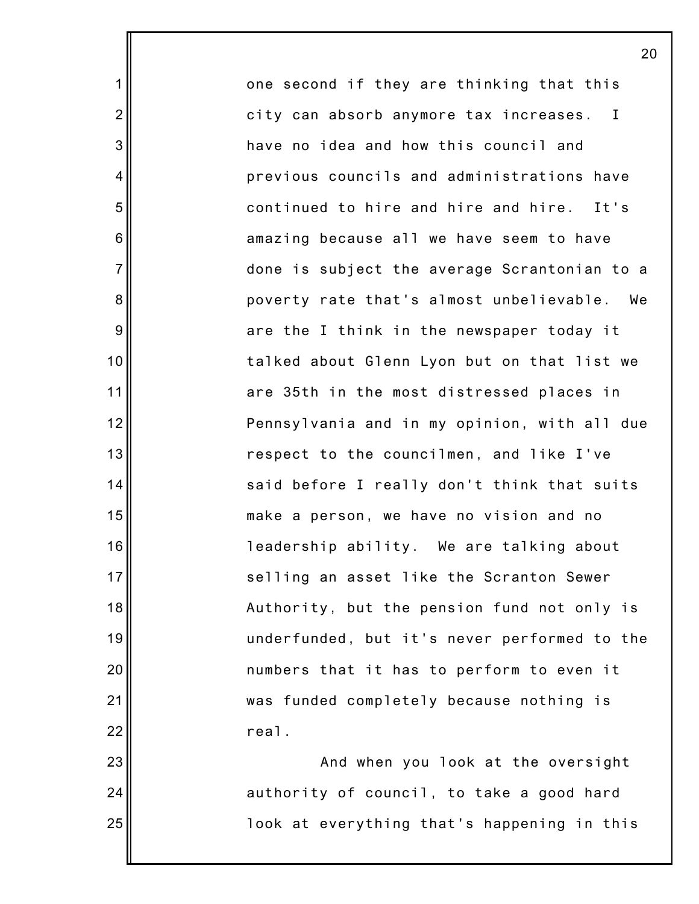one second if they are thinking that this city can absorb anymore tax increases. I have no idea and how this council and previous councils and administrations have continued to hire and hire and hire. It's amazing because all we have seem to have done is subject the average Scrantonian to a poverty rate that's almost unbelievable. We are the I think in the newspaper today it talked about Glenn Lyon but on that list we are 35th in the most distressed places in Pennsylvania and in my opinion, with all due respect to the councilmen, and like I've said before I really don't think that suits make a person, we have no vision and no leadership ability. We are talking about selling an asset like the Scranton Sewer Authority, but the pension fund not only is underfunded, but it's never performed to the numbers that it has to perform to even it was funded completely because nothing is real.

1

2

3

4

5

6

7

8

9

10

11

12

13

14

15

16

17

18

19

20

21

22

23

24

25

And when you look at the oversight authority of council, to take a good hard look at everything that's happening in this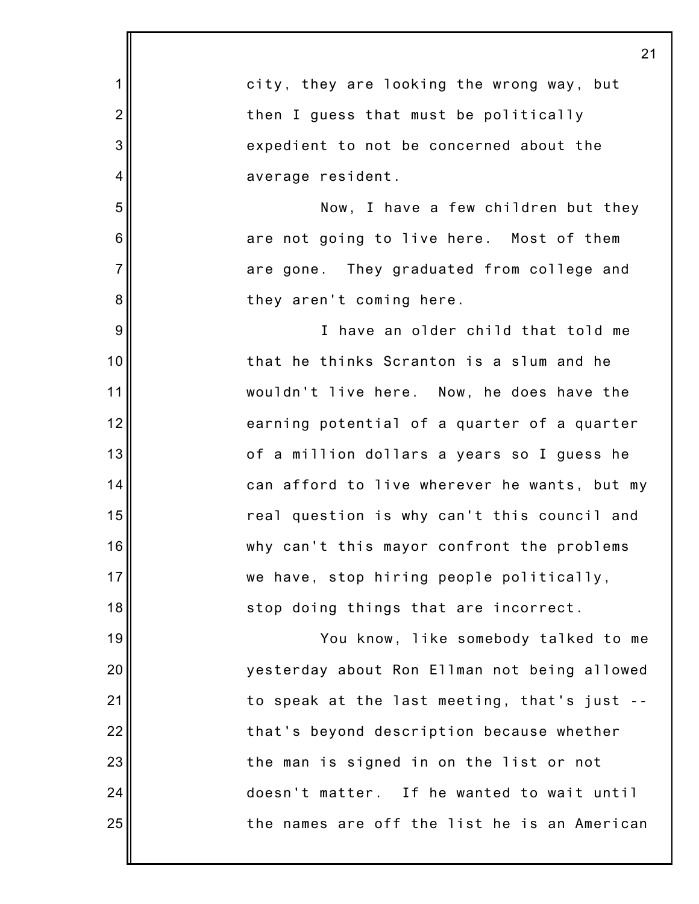|                | 21                                           |
|----------------|----------------------------------------------|
| 1              | city, they are looking the wrong way, but    |
| $\overline{2}$ | then I guess that must be politically        |
| 3              | expedient to not be concerned about the      |
| 4              | average resident.                            |
| 5              | Now, I have a few children but they          |
| 6              | are not going to live here. Most of them     |
| $\overline{7}$ | are gone. They graduated from college and    |
| 8              | they aren't coming here.                     |
| 9              | I have an older child that told me           |
| 10             | that he thinks Scranton is a slum and he     |
| 11             | wouldn't live here. Now, he does have the    |
| 12             | earning potential of a quarter of a quarter  |
| 13             | of a million dollars a years so I guess he   |
| 14             | can afford to live wherever he wants, but my |
| 15             | real question is why can't this council and  |
| 16             | why can't this mayor confront the problems   |
| 17             | we have, stop hiring people politically,     |
| 18             | stop doing things that are incorrect.        |
| 19             | You know, like somebody talked to me         |
| 20             | yesterday about Ron Ellman not being allowed |
| 21             | to speak at the last meeting, that's just -- |
| 22             | that's beyond description because whether    |
| 23             | the man is signed in on the list or not      |
| 24             | doesn't matter. If he wanted to wait until   |
| 25             | the names are off the list he is an American |
|                |                                              |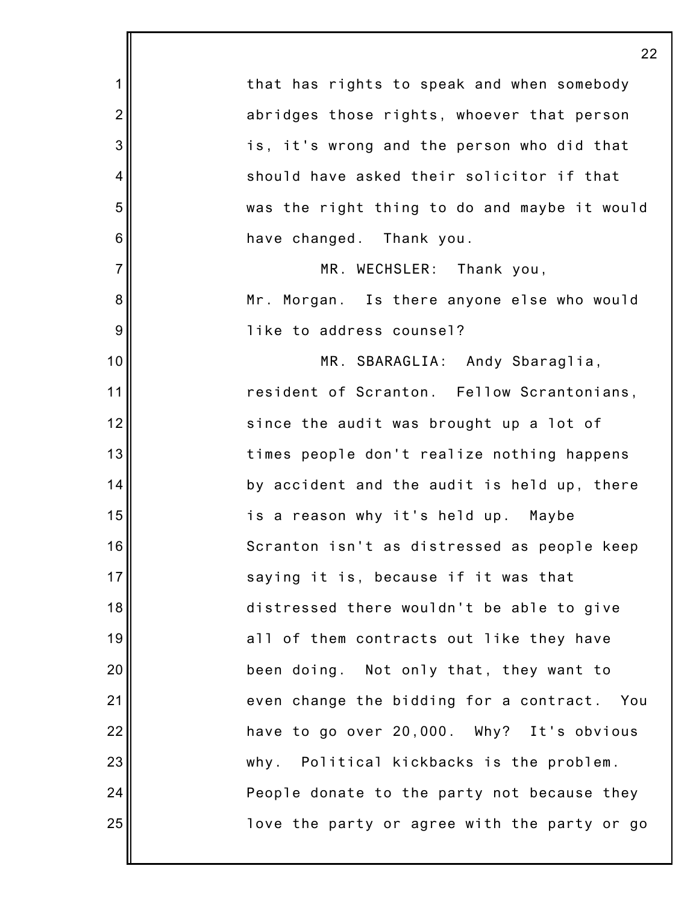|                | 22                                           |
|----------------|----------------------------------------------|
| 1              | that has rights to speak and when somebody   |
| $\overline{2}$ | abridges those rights, whoever that person   |
| 3              | is, it's wrong and the person who did that   |
| 4              | should have asked their solicitor if that    |
| 5              | was the right thing to do and maybe it would |
| 6              | have changed. Thank you.                     |
| $\overline{7}$ | MR. WECHSLER: Thank you,                     |
| 8              | Mr. Morgan. Is there anyone else who would   |
| 9              | like to address counsel?                     |
| 10             | MR. SBARAGLIA: Andy Sbaraglia,               |
| 11             | resident of Scranton. Fellow Scrantonians,   |
| 12             | since the audit was brought up a lot of      |
| 13             | times people don't realize nothing happens   |
| 14             | by accident and the audit is held up, there  |
| 15             | is a reason why it's held up. Maybe          |
| 16             | Scranton isn't as distressed as people keep  |
| 17             | saying it is, because if it was that         |
| 18             | distressed there wouldn't be able to give    |
| 19             | all of them contracts out like they have     |
| 20             | been doing. Not only that, they want to      |
| 21             | even change the bidding for a contract. You  |
| 22             | have to go over 20,000. Why? It's obvious    |
| 23             | why. Political kickbacks is the problem.     |
| 24             | People donate to the party not because they  |
| 25             | love the party or agree with the party or go |
|                |                                              |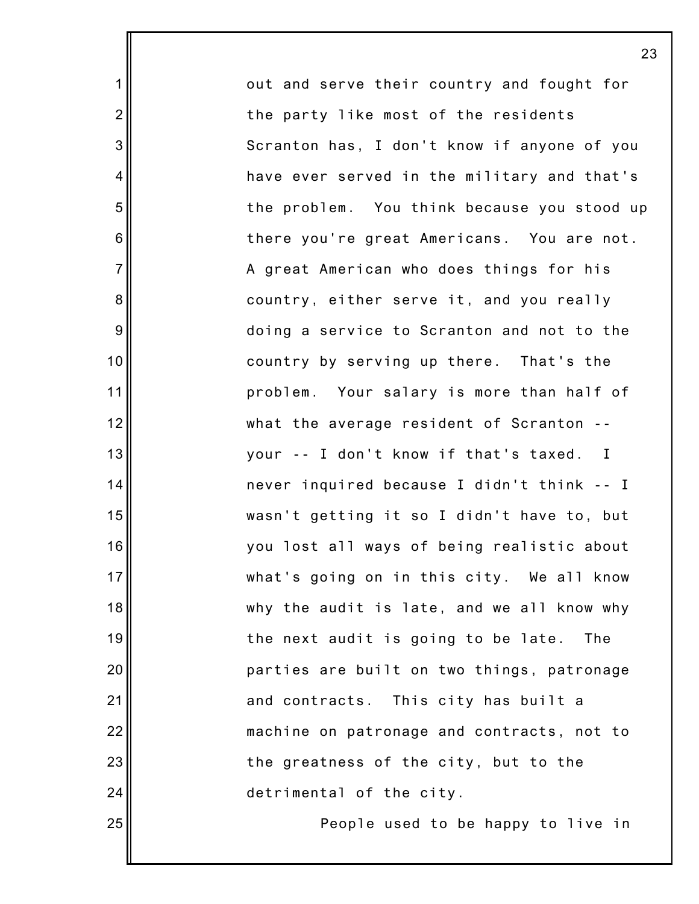out and serve their country and fought for the party like most of the residents Scranton has, I don't know if anyone of you have ever served in the military and that's the problem. You think because you stood up there you're great Americans. You are not. A great American who does things for his country, either serve it, and you really doing a service to Scranton and not to the country by serving up there. That's the problem. Your salary is more than half of what the average resident of Scranton - your -- I don't know if that's taxed. I never inquired because I didn't think -- I wasn't getting it so I didn't have to, but you lost all ways of being realistic about what's going on in this city. We all know why the audit is late, and we all know why the next audit is going to be late. The parties are built on two things, patronage and contracts. This city has built a machine on patronage and contracts, not to the greatness of the city, but to the detrimental of the city.

1

2

3

4

5

6

7

8

9

10

11

12

13

14

15

16

17

18

19

20

21

22

23

24

25

People used to be happy to live in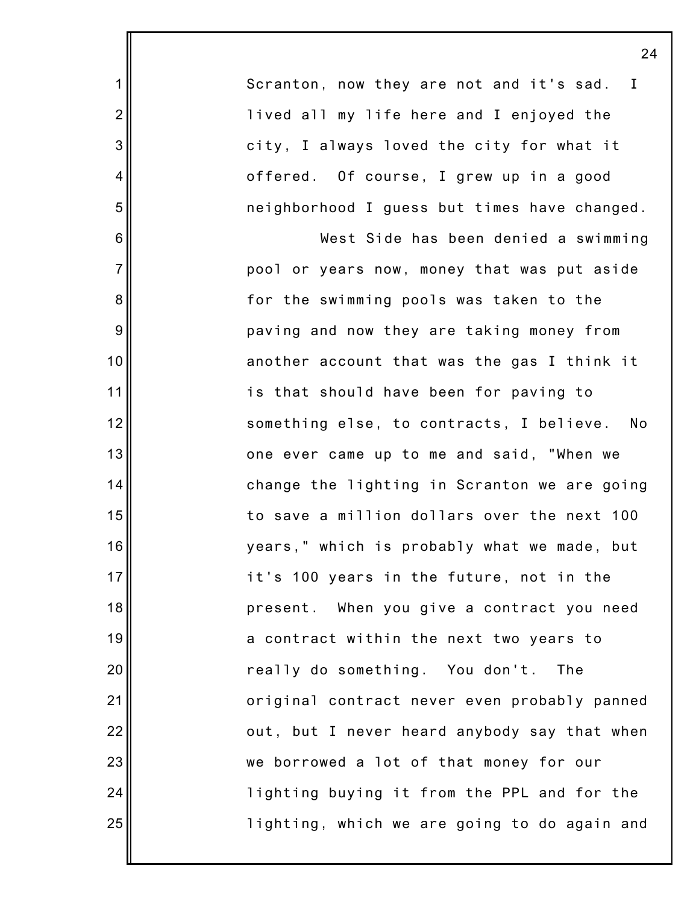Scranton, now they are not and it's sad. I lived all my life here and I enjoyed the city, I always loved the city for what it offered. Of course, I grew up in a good neighborhood I guess but times have changed.

1

2

3

4

5

6

7

8

9

10

11

12

13

14

15

16

17

18

19

20

21

22

23

24

25

West Side has been denied a swimming pool or years now, money that was put aside for the swimming pools was taken to the paving and now they are taking money from another account that was the gas I think it is that should have been for paving to something else, to contracts, I believe. No one ever came up to me and said, "When we change the lighting in Scranton we are going to save a million dollars over the next 100 years," which is probably what we made, but it's 100 years in the future, not in the present. When you give a contract you need a contract within the next two years to really do something. You don't. The original contract never even probably panned out, but I never heard anybody say that when we borrowed a lot of that money for our lighting buying it from the PPL and for the lighting, which we are going to do again and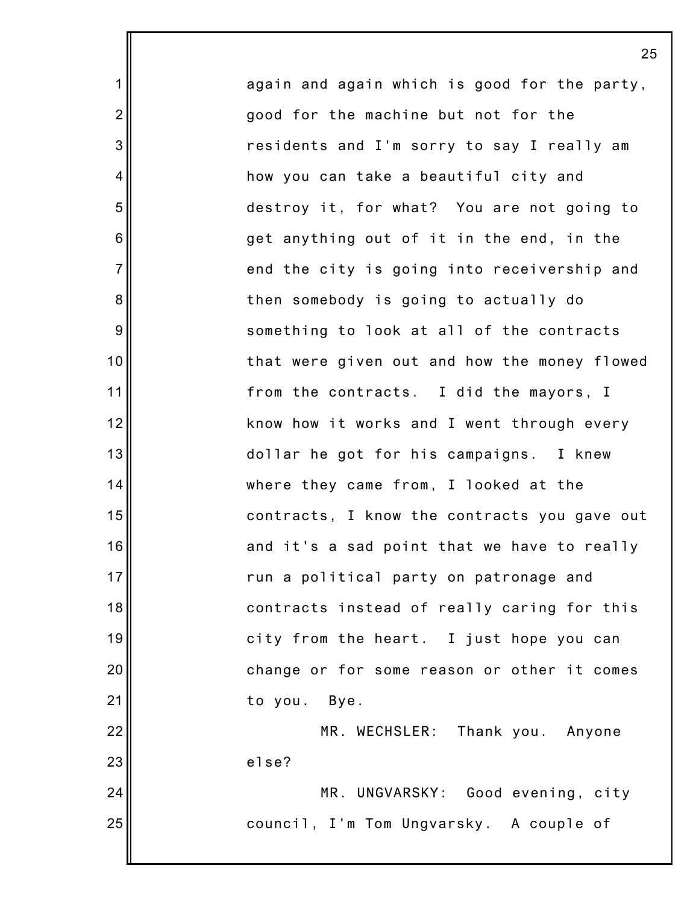again and again which is good for the party, good for the machine but not for the residents and I'm sorry to say I really am how you can take a beautiful city and destroy it, for what? You are not going to get anything out of it in the end, in the end the city is going into receivership and then somebody is going to actually do something to look at all of the contracts that were given out and how the money flowed from the contracts. I did the mayors, I know how it works and I went through every dollar he got for his campaigns. I knew where they came from, I looked at the contracts, I know the contracts you gave out and it's a sad point that we have to really run a political party on patronage and contracts instead of really caring for this city from the heart. I just hope you can change or for some reason or other it comes to you. Bye. MR. WECHSLER: Thank you. Anyone else? MR. UNGVARSKY: Good evening, city

council, I'm Tom Ungvarsky. A couple of

1

2

3

4

5

6

7

8

9

10

11

12

13

14

15

16

17

18

19

20

21

22

23

24

25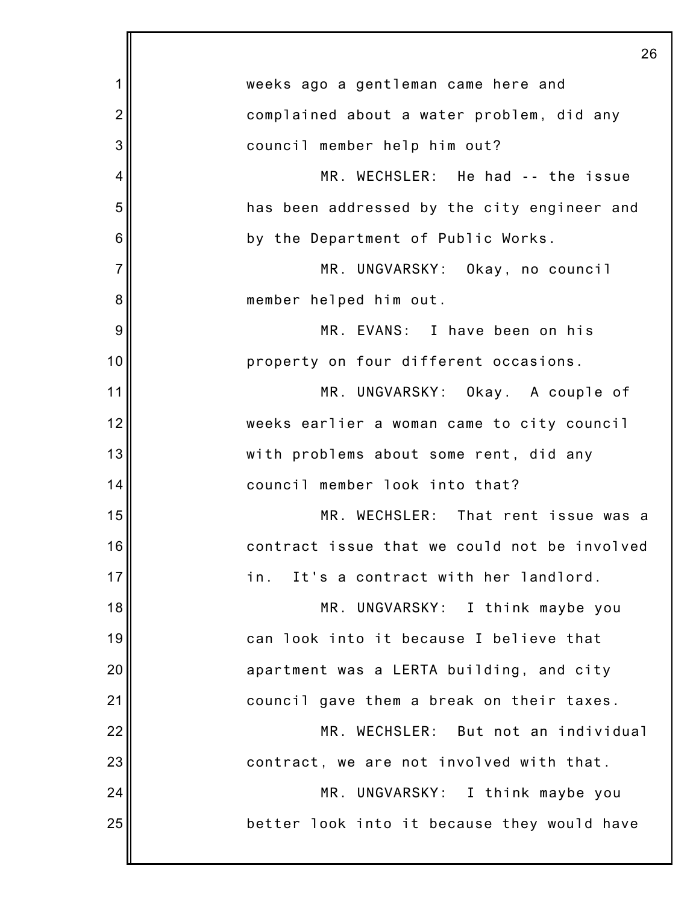|                | 26                                           |
|----------------|----------------------------------------------|
| 1              | weeks ago a gentleman came here and          |
| $\overline{2}$ | complained about a water problem, did any    |
| 3              | council member help him out?                 |
| 4              | MR. WECHSLER: He had -- the issue            |
| 5              | has been addressed by the city engineer and  |
| 6              | by the Department of Public Works.           |
| $\overline{7}$ | MR. UNGVARSKY: Okay, no council              |
| 8              | member helped him out.                       |
| 9              | MR. EVANS: I have been on his                |
| 10             | property on four different occasions.        |
| 11             | MR. UNGVARSKY: Okay. A couple of             |
| 12             | weeks earlier a woman came to city council   |
| 13             | with problems about some rent, did any       |
| 14             | council member look into that?               |
| 15             | MR. WECHSLER: That rent issue was a          |
| 16             | contract issue that we could not be involved |
| 17             | It's a contract with her landlord.<br>in.    |
| 18             | MR. UNGVARSKY: I think maybe you             |
| 19             | can look into it because I believe that      |
| 20             | apartment was a LERTA building, and city     |
| 21             | council gave them a break on their taxes.    |
| 22             | MR. WECHSLER: But not an individual          |
| 23             | contract, we are not involved with that.     |
| 24             | MR. UNGVARSKY: I think maybe you             |
| 25             | better look into it because they would have  |
|                |                                              |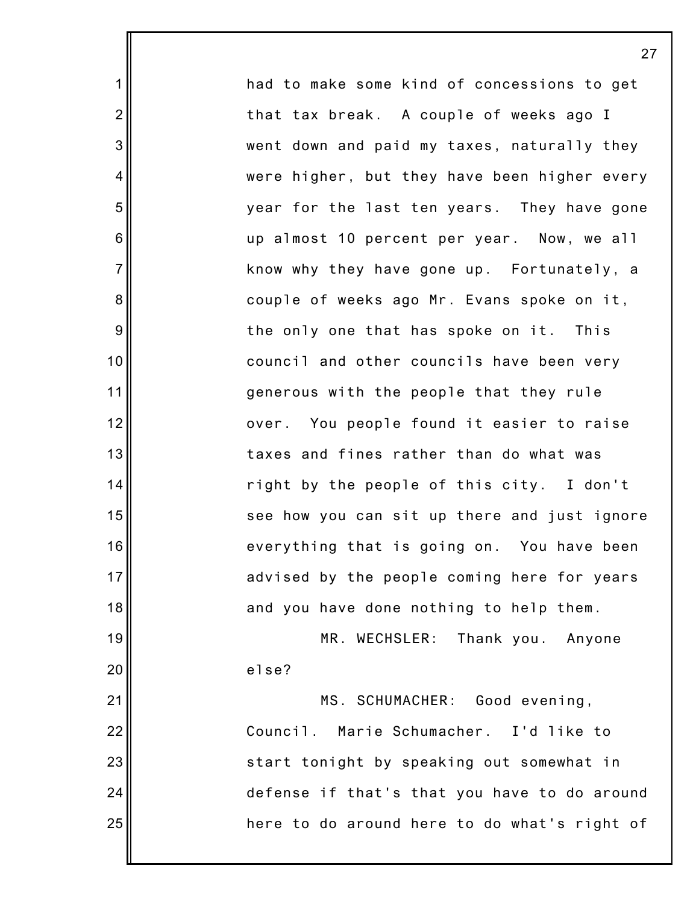had to make some kind of concessions to get that tax break. A couple of weeks ago I went down and paid my taxes, naturally they were higher, but they have been higher every year for the last ten years. They have gone up almost 10 percent per year. Now, we all know why they have gone up. Fortunately, a couple of weeks ago Mr. Evans spoke on it, the only one that has spoke on it. This council and other councils have been very generous with the people that they rule over. You people found it easier to raise taxes and fines rather than do what was right by the people of this city. I don't see how you can sit up there and just ignore everything that is going on. You have been advised by the people coming here for years and you have done nothing to help them. MR. WECHSLER: Thank you. Anyone else? MS. SCHUMACHER: Good evening, Council. Marie Schumacher. I'd like to

1

2

3

4

5

6

7

8

9

10

11

12

13

14

15

16

17

18

19

20

21

22

23

24

25

start tonight by speaking out somewhat in defense if that's that you have to do around here to do around here to do what's right of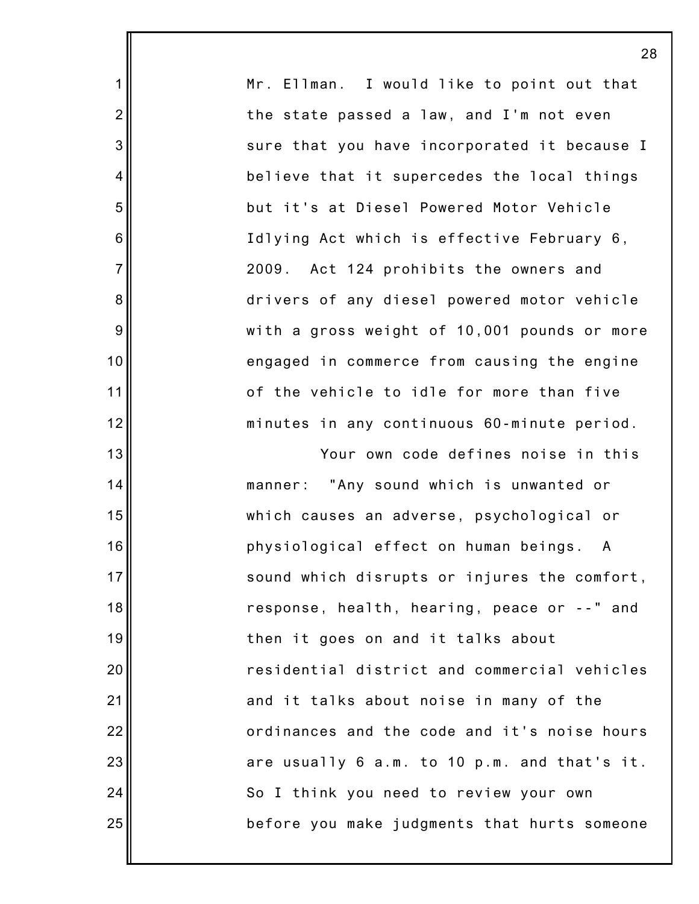Mr. Ellman. I would like to point out that the state passed a law, and I'm not even sure that you have incorporated it because I believe that it supercedes the local things but it's at Diesel Powered Motor Vehicle Idlying Act which is effective February 6, 2009. Act 124 prohibits the owners and drivers of any diesel powered motor vehicle with a gross weight of 10,001 pounds or more engaged in commerce from causing the engine of the vehicle to idle for more than five minutes in any continuous 60-minute period.

1

2

3

4

5

6

7

8

9

10

11

12

13

14

15

16

17

18

19

20

21

22

23

24

25

Your own code defines noise in this manner: "Any sound which is unwanted or which causes an adverse, psychological or physiological effect on human beings. A sound which disrupts or injures the comfort, response, health, hearing, peace or --" and then it goes on and it talks about residential district and commercial vehicles and it talks about noise in many of the ordinances and the code and it's noise hours are usually 6 a.m. to 10 p.m. and that's it. So I think you need to review your own before you make judgments that hurts someone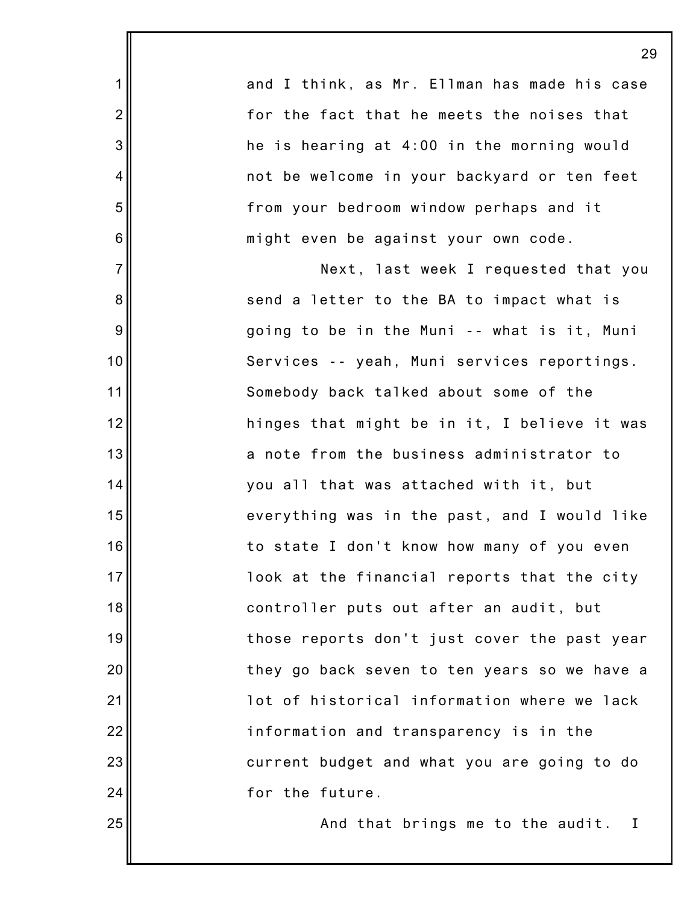and I think, as Mr. Ellman has made his case for the fact that he meets the noises that he is hearing at 4:00 in the morning would not be welcome in your backyard or ten feet from your bedroom window perhaps and it might even be against your own code.

1

2

3

4

5

6

7

8

9

10

11

12

13

14

15

16

17

18

19

20

21

22

23

24

25

Next, last week I requested that you send a letter to the BA to impact what is going to be in the Muni -- what is it, Muni Services -- yeah, Muni services reportings. Somebody back talked about some of the hinges that might be in it, I believe it was a note from the business administrator to you all that was attached with it, but everything was in the past, and I would like to state I don't know how many of you even look at the financial reports that the city controller puts out after an audit, but those reports don't just cover the past year they go back seven to ten years so we have a lot of historical information where we lack information and transparency is in the current budget and what you are going to do for the future.

And that brings me to the audit. I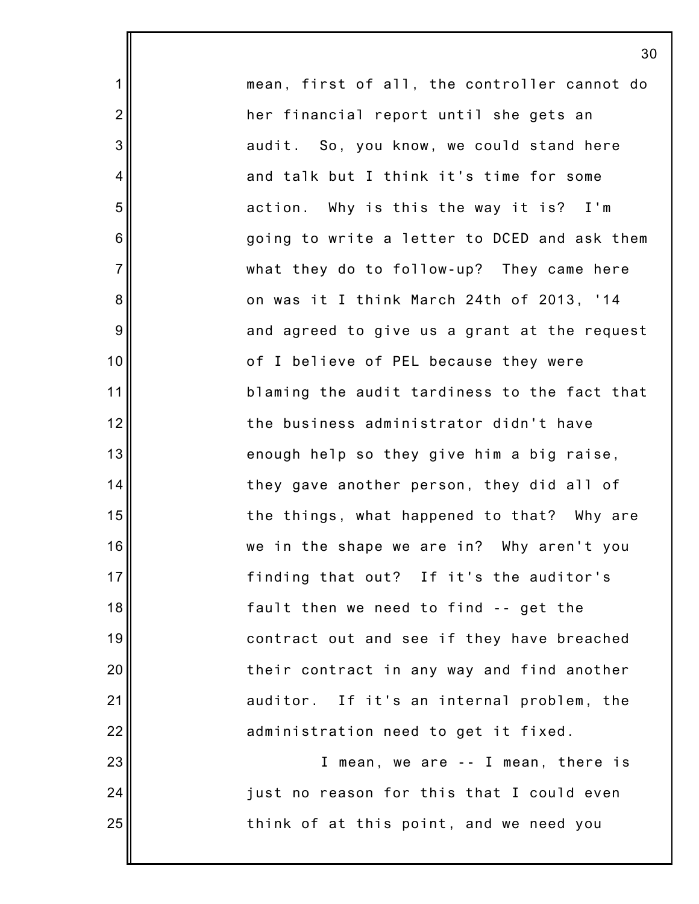mean, first of all, the controller cannot do her financial report until she gets an audit. So, you know, we could stand here and talk but I think it's time for some action. Why is this the way it is? I'm going to write a letter to DCED and ask them what they do to follow-up? They came here on was it I think March 24th of 2013, '14 and agreed to give us a grant at the request of I believe of PEL because they were blaming the audit tardiness to the fact that the business administrator didn't have enough help so they give him a big raise, they gave another person, they did all of the things, what happened to that? Why are we in the shape we are in? Why aren't you finding that out? If it's the auditor's fault then we need to find -- get the contract out and see if they have breached their contract in any way and find another auditor. If it's an internal problem, the administration need to get it fixed. I mean, we are -- I mean, there is

1

2

3

4

5

6

7

8

9

10

11

12

13

14

15

16

17

18

19

20

21

22

23

24

25

just no reason for this that I could even think of at this point, and we need you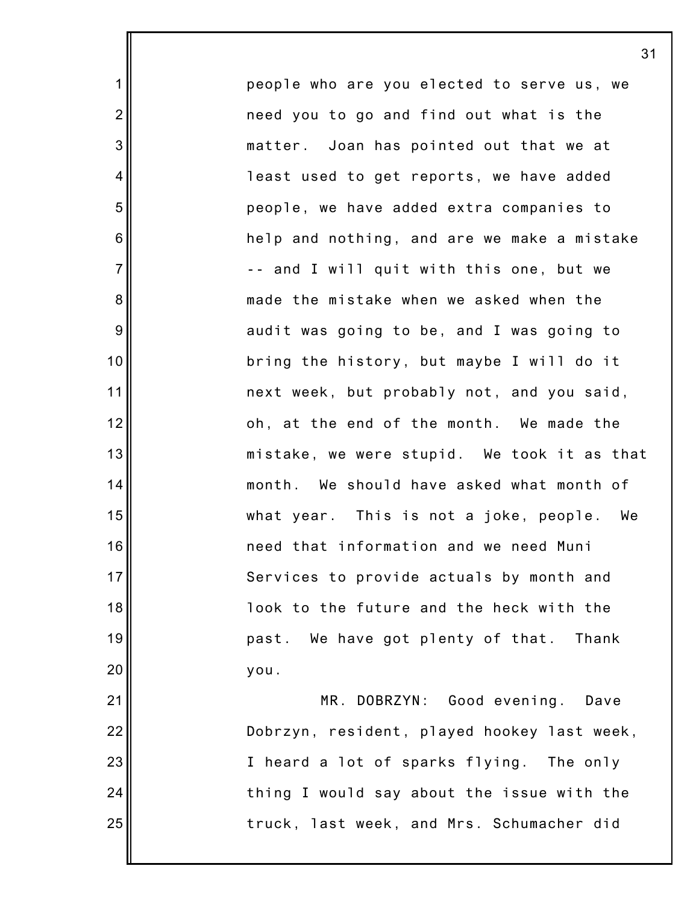people who are you elected to serve us, we need you to go and find out what is the matter. Joan has pointed out that we at least used to get reports, we have added people, we have added extra companies to help and nothing, and are we make a mistake -- and I will quit with this one, but we made the mistake when we asked when the audit was going to be, and I was going to bring the history, but maybe I will do it next week, but probably not, and you said, oh, at the end of the month. We made the mistake, we were stupid. We took it as that month. We should have asked what month of what year. This is not a joke, people. We need that information and we need Muni Services to provide actuals by month and look to the future and the heck with the past. We have got plenty of that. Thank you.

1

2

3

4

5

6

7

8

9

10

11

12

13

14

15

16

17

18

19

20

21

22

23

24

25

MR. DOBRZYN: Good evening. Dave Dobrzyn, resident, played hookey last week, I heard a lot of sparks flying. The only thing I would say about the issue with the truck, last week, and Mrs. Schumacher did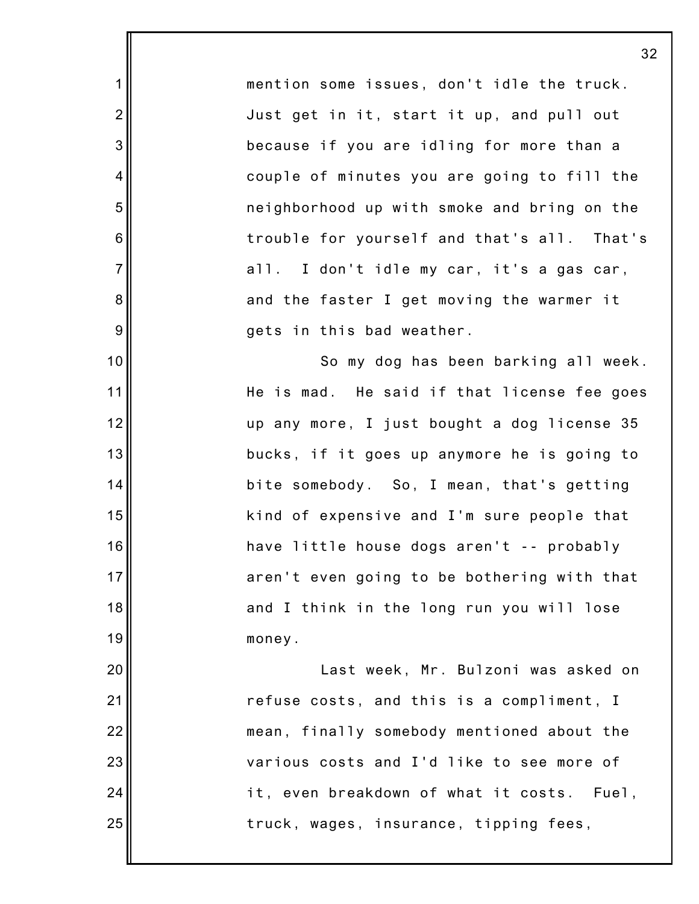mention some issues, don't idle the truck. Just get in it, start it up, and pull out because if you are idling for more than a couple of minutes you are going to fill the neighborhood up with smoke and bring on the trouble for yourself and that's all. That's all. I don't idle my car, it's a gas car, and the faster I get moving the warmer it gets in this bad weather.

1

2

3

4

5

6

7

8

9

10

11

12

13

14

15

16

17

18

19

20

21

22

23

24

25

So my dog has been barking all week. He is mad. He said if that license fee goes up any more, I just bought a dog license 35 bucks, if it goes up anymore he is going to bite somebody. So, I mean, that's getting kind of expensive and I'm sure people that have little house dogs aren't -- probably aren't even going to be bothering with that and I think in the long run you will lose money.

Last week, Mr. Bulzoni was asked on refuse costs, and this is a compliment, I mean, finally somebody mentioned about the various costs and I'd like to see more of it, even breakdown of what it costs. Fuel, truck, wages, insurance, tipping fees,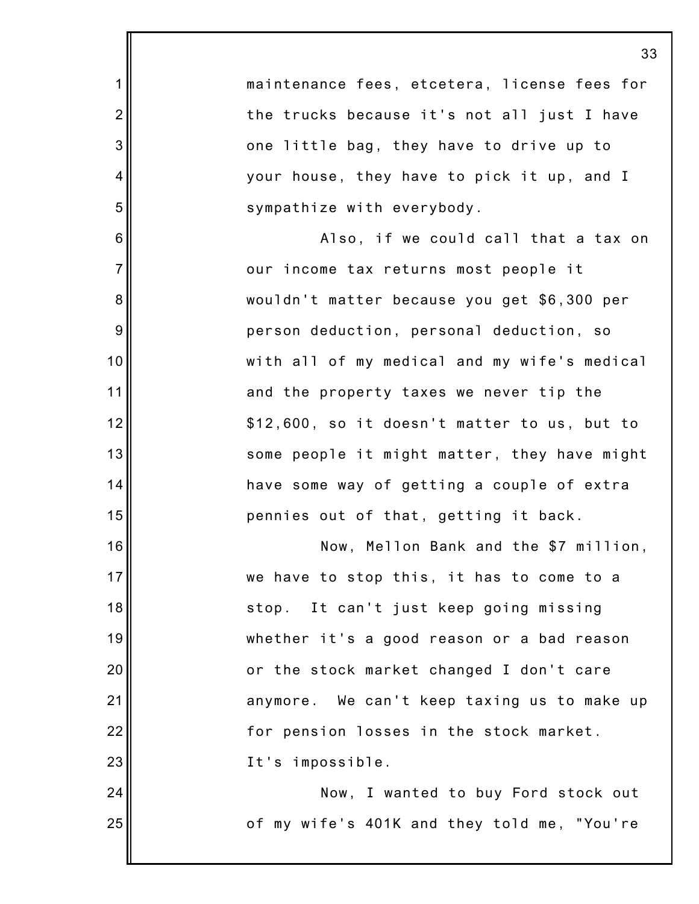|                | 3:                                           |
|----------------|----------------------------------------------|
| 1              | maintenance fees, etcetera, license fees for |
| $\overline{2}$ | the trucks because it's not all just I have  |
| 3              | one little bag, they have to drive up to     |
| 4              | your house, they have to pick it up, and I   |
| 5              | sympathize with everybody.                   |
| 6              | Also, if we could call that a tax on         |
| $\overline{7}$ | our income tax returns most people it        |
| 8              | wouldn't matter because you get \$6,300 per  |
| 9              | person deduction, personal deduction, so     |
| 10             | with all of my medical and my wife's medical |
| 11             | and the property taxes we never tip the      |
| 12             | \$12,600, so it doesn't matter to us, but to |
| 13             | some people it might matter, they have might |
| 14             | have some way of getting a couple of extra   |
| 15             | pennies out of that, getting it back.        |
| 16             | Now, Mellon Bank and the \$7 million,        |
| 17             | we have to stop this, it has to come to a    |
| 18             | stop. It can't just keep going missing       |
| 19             | whether it's a good reason or a bad reason   |
| 20             | or the stock market changed I don't care     |
| 21             | anymore. We can't keep taxing us to make up  |
| 22             | for pension losses in the stock market.      |
| 23             | It's impossible.                             |
| 24             | Now, I wanted to buy Ford stock out          |
| 25             | of my wife's 401K and they told me, "You're  |
|                |                                              |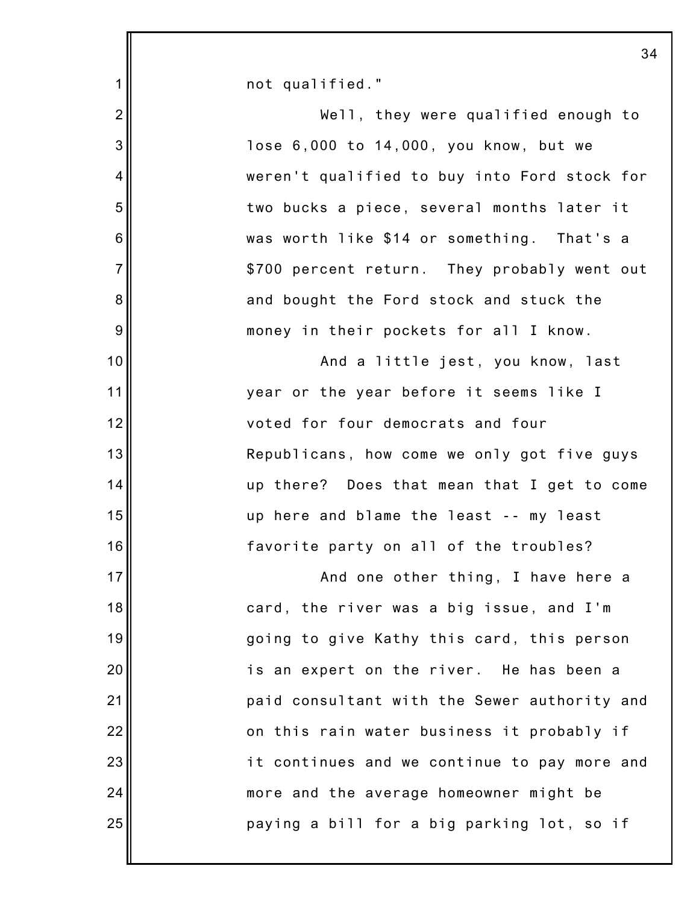|                | 3 <sub>1</sub>                               |
|----------------|----------------------------------------------|
| 1              | not qualified."                              |
| $\overline{2}$ | Well, they were qualified enough to          |
| 3              | lose 6,000 to 14,000, you know, but we       |
| $\overline{4}$ | weren't qualified to buy into Ford stock for |
| 5              | two bucks a piece, several months later it   |
| 6              | was worth like \$14 or something. That's a   |
| $\overline{7}$ | \$700 percent return. They probably went out |
| 8              | and bought the Ford stock and stuck the      |
| 9              | money in their pockets for all I know.       |
| 10             | And a little jest, you know, last            |
| 11             | year or the year before it seems like I      |
| 12             | voted for four democrats and four            |
| 13             | Republicans, how come we only got five guys  |
| 14             | up there? Does that mean that I get to come  |
| 15             | up here and blame the least -- my least      |
| 16             | favorite party on all of the troubles?       |
| 17             | And one other thing, I have here a           |
| 18             | card, the river was a big issue, and I'm     |
| 19             | going to give Kathy this card, this person   |
| 20             | is an expert on the river. He has been a     |
| 21             | paid consultant with the Sewer authority and |
| 22             | on this rain water business it probably if   |
| 23             | it continues and we continue to pay more and |
| 24             | more and the average homeowner might be      |
| 25             | paying a bill for a big parking lot, so if   |
|                |                                              |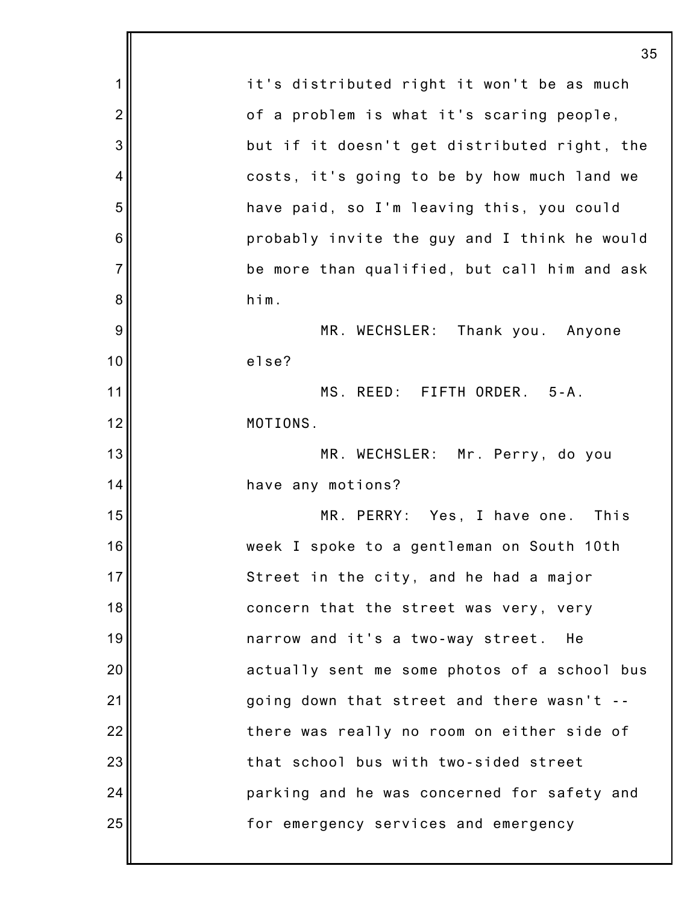|                | 35                                           |
|----------------|----------------------------------------------|
| 1              | it's distributed right it won't be as much   |
| $\overline{c}$ | of a problem is what it's scaring people,    |
| 3              | but if it doesn't get distributed right, the |
| 4              | costs, it's going to be by how much land we  |
| 5              | have paid, so I'm leaving this, you could    |
| 6              | probably invite the guy and I think he would |
| $\overline{7}$ | be more than qualified, but call him and ask |
| 8              | him.                                         |
| 9              | MR. WECHSLER: Thank you. Anyone              |
| 10             | else?                                        |
| 11             | MS. REED: FIFTH ORDER. 5-A.                  |
| 12             | MOTIONS.                                     |
| 13             | MR. WECHSLER: Mr. Perry, do you              |
| 14             | have any motions?                            |
| 15             | MR. PERRY: Yes, I have one.<br>This          |
| 16             | week I spoke to a gentleman on South 10th    |
| 17             | Street in the city, and he had a major       |
| 18             | concern that the street was very, very       |
| 19             | narrow and it's a two-way street.<br>He      |
| 20             | actually sent me some photos of a school bus |
| 21             | going down that street and there wasn't --   |
| 22             | there was really no room on either side of   |
| 23             | that school bus with two-sided street        |
| 24             | parking and he was concerned for safety and  |
| 25             | for emergency services and emergency         |
|                |                                              |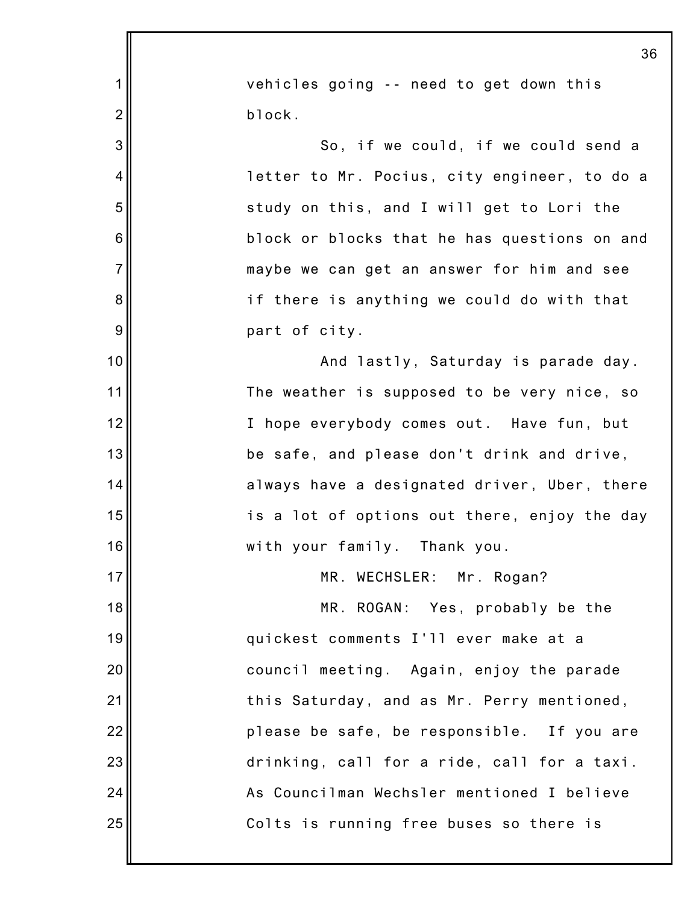|                | 36                                           |
|----------------|----------------------------------------------|
| 1              | vehicles going -- need to get down this      |
| $\overline{c}$ | block.                                       |
| 3              | So, if we could, if we could send a          |
| 4              | letter to Mr. Pocius, city engineer, to do a |
| 5              | study on this, and I will get to Lori the    |
| 6              | block or blocks that he has questions on and |
| $\overline{7}$ | maybe we can get an answer for him and see   |
| 8              | if there is anything we could do with that   |
| 9              | part of city.                                |
| 10             | And lastly, Saturday is parade day.          |
| 11             | The weather is supposed to be very nice, so  |
| 12             | I hope everybody comes out. Have fun, but    |
| 13             | be safe, and please don't drink and drive,   |
| 14             | always have a designated driver, Uber, there |
| 15             | is a lot of options out there, enjoy the day |
| 16             | with your family. Thank you.                 |
| 17             | MR. WECHSLER: Mr. Rogan?                     |
| 18             | MR. ROGAN: Yes, probably be the              |
| 19             | quickest comments I'll ever make at a        |
| 20             | council meeting. Again, enjoy the parade     |
| 21             | this Saturday, and as Mr. Perry mentioned,   |
| 22             | please be safe, be responsible. If you are   |
| 23             | drinking, call for a ride, call for a taxi.  |
| 24             | As Councilman Wechsler mentioned I believe   |
| 25             | Colts is running free buses so there is      |
|                |                                              |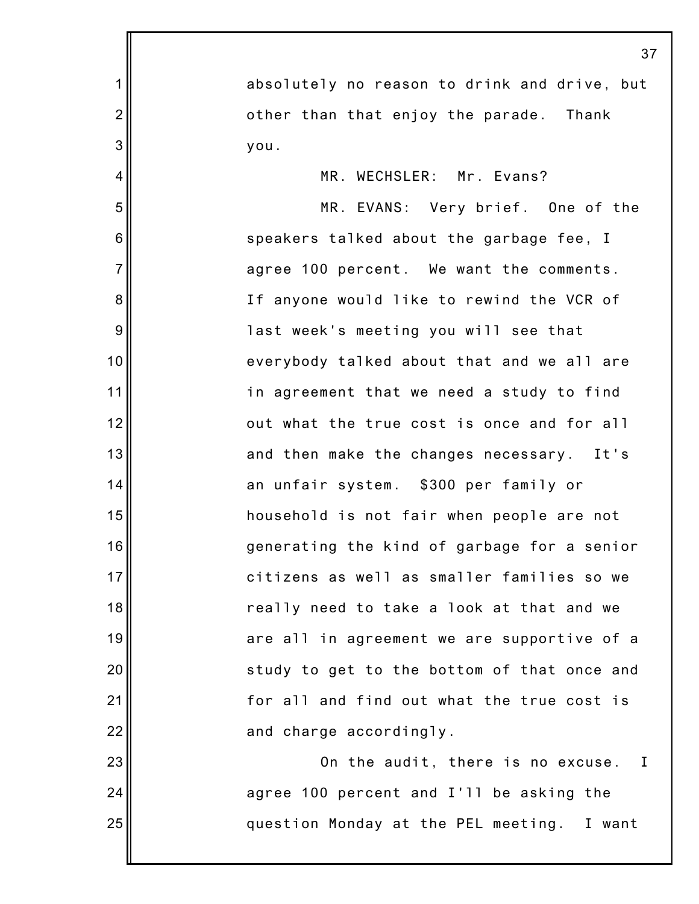|                | 37                                           |
|----------------|----------------------------------------------|
| 1              | absolutely no reason to drink and drive, but |
| $\overline{c}$ | other than that enjoy the parade. Thank      |
| 3              | you.                                         |
| $\overline{4}$ | MR. WECHSLER: Mr. Evans?                     |
| 5              | MR. EVANS: Very brief. One of the            |
| 6              | speakers talked about the garbage fee, I     |
| $\overline{7}$ | agree 100 percent. We want the comments.     |
| 8              | If anyone would like to rewind the VCR of    |
| $9\,$          | last week's meeting you will see that        |
| 10             | everybody talked about that and we all are   |
| 11             | in agreement that we need a study to find    |
| 12             | out what the true cost is once and for all   |
| 13             | and then make the changes necessary. It's    |
| 14             | an unfair system. \$300 per family or        |
| 15             | household is not fair when people are not    |
| 16             | generating the kind of garbage for a senior  |
| 17             | citizens as well as smaller families so we   |
| 18             | really need to take a look at that and we    |
| 19             | are all in agreement we are supportive of a  |
| 20             | study to get to the bottom of that once and  |
| 21             | for all and find out what the true cost is   |
| 22             | and charge accordingly.                      |
| 23             | On the audit, there is no excuse. I          |
| 24             | agree 100 percent and I'll be asking the     |
| 25             | question Monday at the PEL meeting. I want   |
|                |                                              |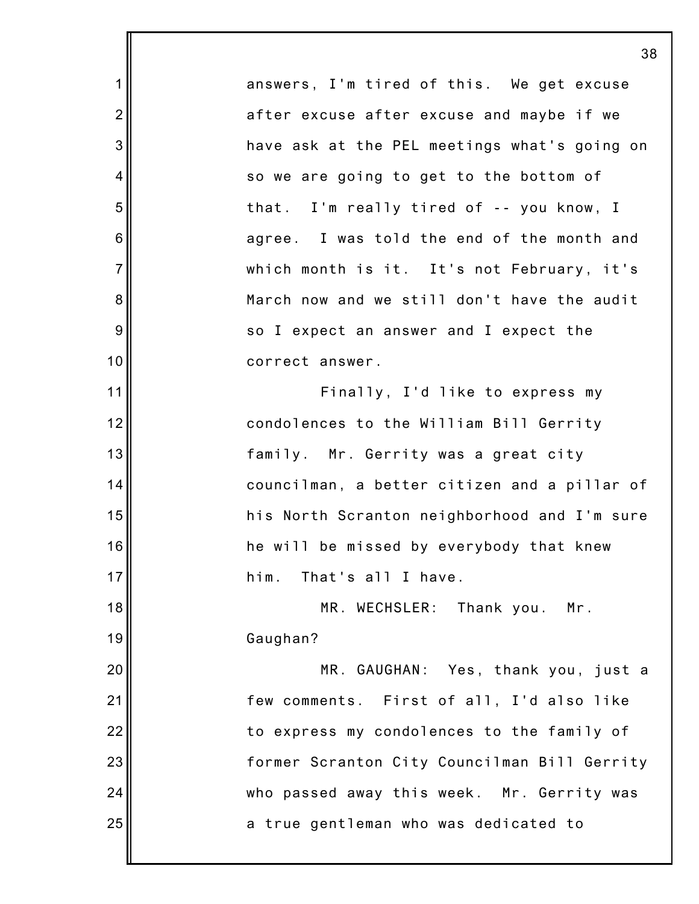answers, I'm tired of this. We get excuse after excuse after excuse and maybe if we have ask at the PEL meetings what's going on so we are going to get to the bottom of that. I'm really tired of -- you know, I agree. I was told the end of the month and which month is it. It's not February, it's March now and we still don't have the audit so I expect an answer and I expect the correct answer. Finally, I'd like to express my condolences to the William Bill Gerrity family. Mr. Gerrity was a great city councilman, a better citizen and a pillar of his North Scranton neighborhood and I'm sure he will be missed by everybody that knew him. That's all I have. MR. WECHSLER: Thank you. Mr. Gaughan? MR. GAUGHAN: Yes, thank you, just a few comments. First of all, I'd also like to express my condolences to the family of former Scranton City Councilman Bill Gerrity who passed away this week. Mr. Gerrity was a true gentleman who was dedicated to

1

2

3

4

5

6

7

8

9

10

11

12

13

14

15

16

17

18

19

20

21

22

23

24

25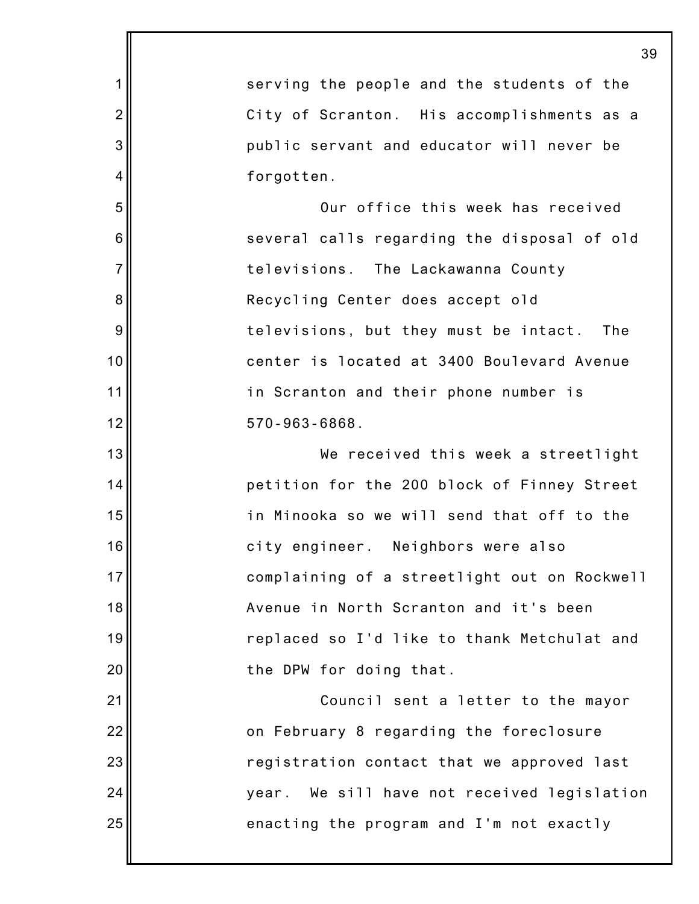1 2 3 4 5 6 7 8 9 10 11 12 13 14 15 16 17 18 19 20 21 22 23 24 25 39 serving the people and the students of the City of Scranton. His accomplishments as a public servant and educator will never be forgotten. Our office this week has received several calls regarding the disposal of old televisions. The Lackawanna County Recycling Center does accept old televisions, but they must be intact. The center is located at 3400 Boulevard Avenue in Scranton and their phone number is 570-963-6868. We received this week a streetlight petition for the 200 block of Finney Street in Minooka so we will send that off to the city engineer. Neighbors were also complaining of a streetlight out on Rockwell Avenue in North Scranton and it's been replaced so I'd like to thank Metchulat and the DPW for doing that. Council sent a letter to the mayor on February 8 regarding the foreclosure registration contact that we approved last year. We sill have not received legislation enacting the program and I'm not exactly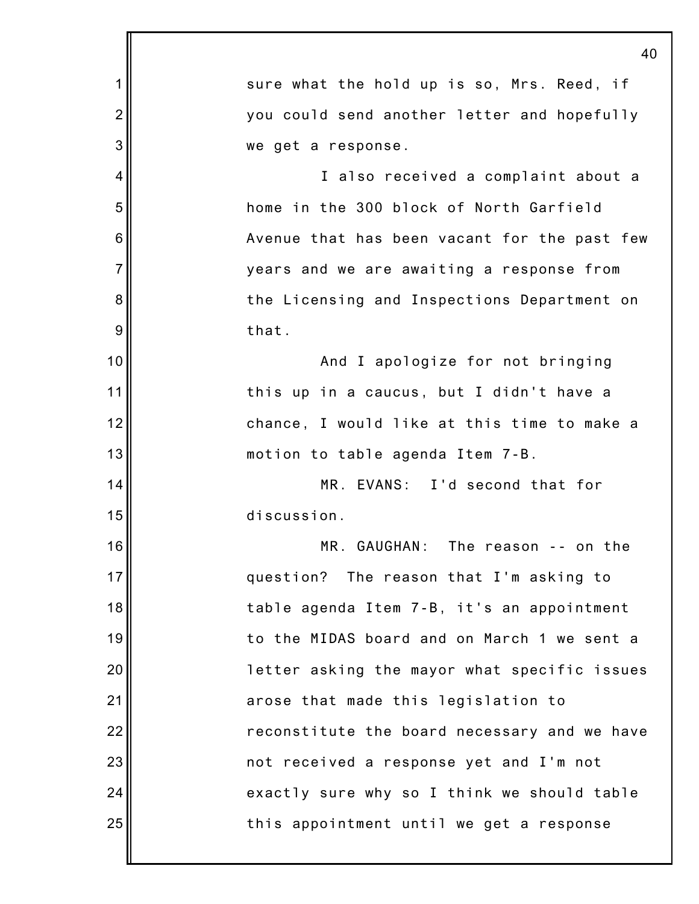1 2 3 4 5 6 7 8 9 10 11 12 13 14 15 16 17 18 19 20 21 22 23 24 25 40 sure what the hold up is so, Mrs. Reed, if you could send another letter and hopefully we get a response. I also received a complaint about a home in the 300 block of North Garfield Avenue that has been vacant for the past few years and we are awaiting a response from the Licensing and Inspections Department on that. And I apologize for not bringing this up in a caucus, but I didn't have a chance, I would like at this time to make a motion to table agenda Item 7-B. MR. EVANS: I'd second that for discussion. MR. GAUGHAN: The reason -- on the question? The reason that I'm asking to table agenda Item 7-B, it's an appointment to the MIDAS board and on March 1 we sent a letter asking the mayor what specific issues arose that made this legislation to reconstitute the board necessary and we have not received a response yet and I'm not exactly sure why so I think we should table this appointment until we get a response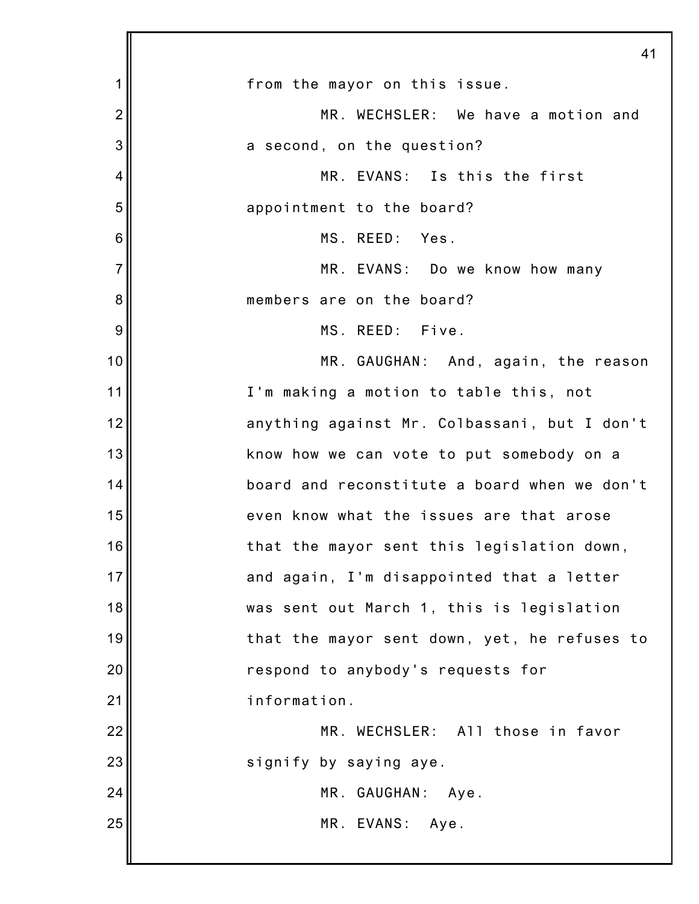|                | 41                                           |
|----------------|----------------------------------------------|
| 1              | from the mayor on this issue.                |
| $\overline{2}$ | MR. WECHSLER: We have a motion and           |
| 3              | a second, on the question?                   |
| 4              | MR. EVANS: Is this the first                 |
| 5              | appointment to the board?                    |
| 6              | MS. REED: Yes.                               |
| $\overline{7}$ | MR. EVANS: Do we know how many               |
| 8              | members are on the board?                    |
| 9              | MS. REED: Five.                              |
| 10             | MR. GAUGHAN: And, again, the reason          |
| 11             | I'm making a motion to table this, not       |
| 12             | anything against Mr. Colbassani, but I don't |
| 13             | know how we can vote to put somebody on a    |
| 14             | board and reconstitute a board when we don't |
| 15             | even know what the issues are that arose     |
| 16             | that the mayor sent this legislation down,   |
| 17             | and again, I'm disappointed that a letter    |
| 18             | was sent out March 1, this is legislation    |
| 19             | that the mayor sent down, yet, he refuses to |
| 20             | respond to anybody's requests for            |
| 21             | information.                                 |
| 22             | MR. WECHSLER: All those in favor             |
| 23             | signify by saying aye.                       |
| 24             | MR. GAUGHAN: Aye.                            |
| 25             | MR. EVANS: Aye.                              |
|                |                                              |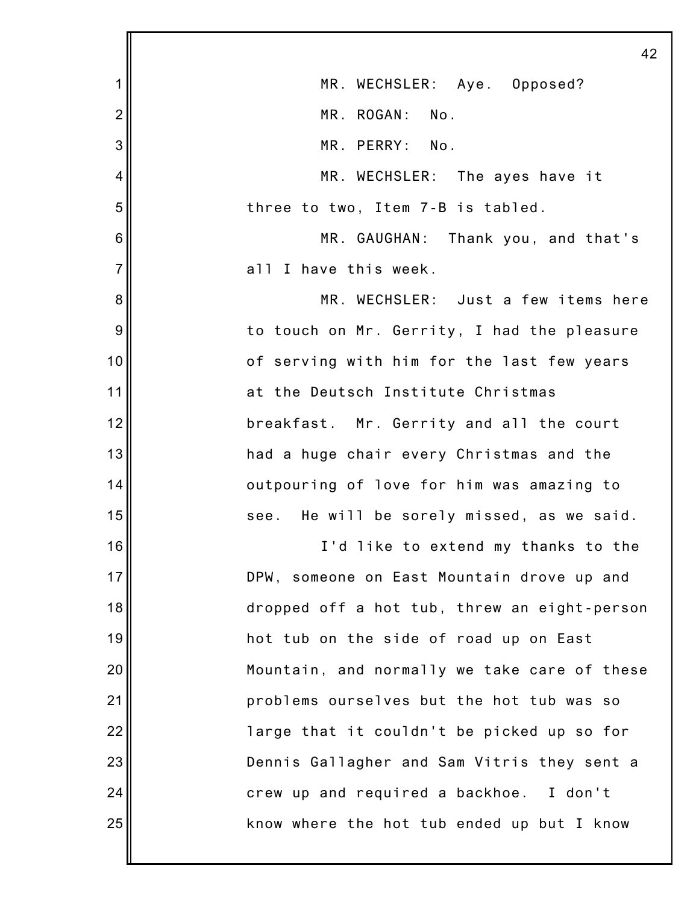|                 | 42                                           |
|-----------------|----------------------------------------------|
| 1               | MR. WECHSLER: Aye. Opposed?                  |
| $\overline{c}$  | MR. ROGAN:<br>No.                            |
| 3               | MR. PERRY: No.                               |
| 4               | MR. WECHSLER: The ayes have it               |
| 5               | three to two, Item 7-B is tabled.            |
| $6\phantom{1}6$ | MR. GAUGHAN: Thank you, and that's           |
| $\overline{7}$  | all I have this week.                        |
| 8               | MR. WECHSLER: Just a few items here          |
| 9               | to touch on Mr. Gerrity, I had the pleasure  |
| 10              | of serving with him for the last few years   |
| 11              | at the Deutsch Institute Christmas           |
| 12              | breakfast. Mr. Gerrity and all the court     |
| 13              | had a huge chair every Christmas and the     |
| 14              | outpouring of love for him was amazing to    |
| 15              | see. He will be sorely missed, as we said.   |
| 16              | I'd like to extend my thanks to the          |
| 17              | DPW, someone on East Mountain drove up and   |
| 18              | dropped off a hot tub, threw an eight-person |
| 19              | hot tub on the side of road up on East       |
| 20              | Mountain, and normally we take care of these |
| 21              | problems ourselves but the hot tub was so    |
| 22              | large that it couldn't be picked up so for   |
| 23              | Dennis Gallagher and Sam Vitris they sent a  |
| 24              | crew up and required a backhoe. I don't      |
| 25              | know where the hot tub ended up but I know   |
|                 |                                              |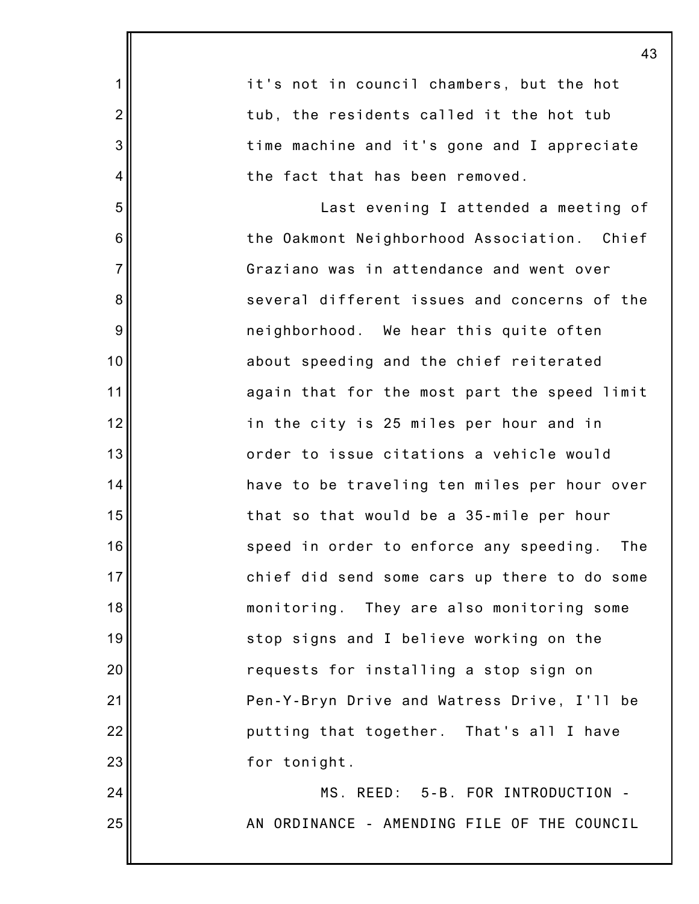|                | 43                                           |
|----------------|----------------------------------------------|
| $\mathbf 1$    | it's not in council chambers, but the hot    |
| $\overline{2}$ | tub, the residents called it the hot tub     |
| 3              | time machine and it's gone and I appreciate  |
| 4              | the fact that has been removed.              |
| 5              | Last evening I attended a meeting of         |
| 6              | the Oakmont Neighborhood Association. Chief  |
| $\overline{7}$ | Graziano was in attendance and went over     |
| 8              | several different issues and concerns of the |
| 9              | neighborhood. We hear this quite often       |
| 10             | about speeding and the chief reiterated      |
| 11             | again that for the most part the speed limit |
| 12             | in the city is 25 miles per hour and in      |
| 13             | order to issue citations a vehicle would     |
| 14             | have to be traveling ten miles per hour over |
| 15             | that so that would be a 35-mile per hour     |
| 16             | speed in order to enforce any speeding. The  |
| 17             | chief did send some cars up there to do some |
| 18             | monitoring. They are also monitoring some    |
| 19             | stop signs and I believe working on the      |
| 20             | requests for installing a stop sign on       |
| 21             | Pen-Y-Bryn Drive and Watress Drive, I'll be  |
| 22             | putting that together. That's all I have     |
| 23             | for tonight.                                 |
| 24             | MS. REED: 5-B. FOR INTRODUCTION -            |
| 25             | AN ORDINANCE - AMENDING FILE OF THE COUNCIL  |
|                |                                              |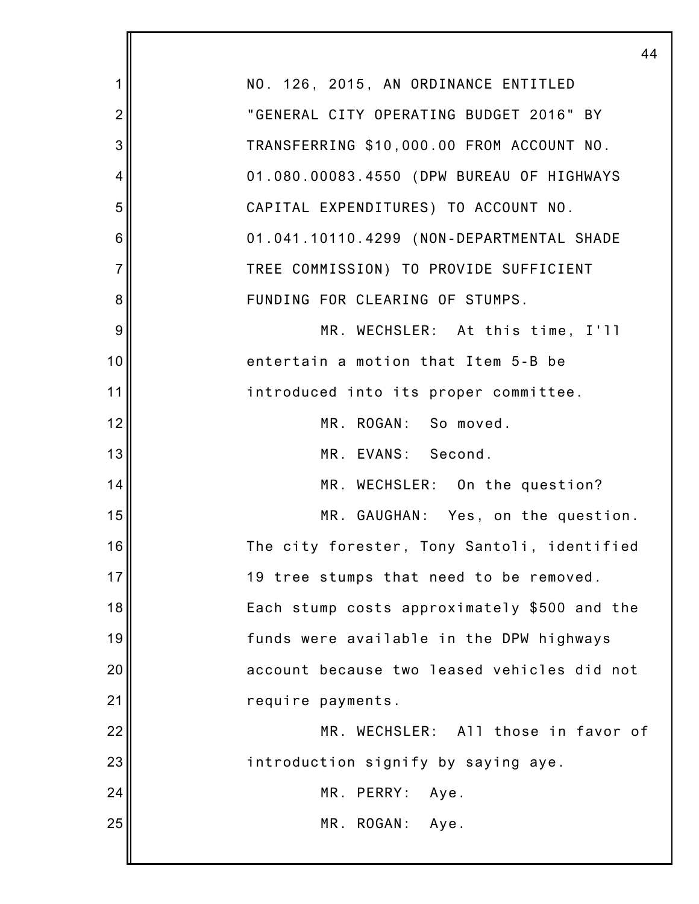|                | 44                                           |
|----------------|----------------------------------------------|
| 1              | NO. 126, 2015, AN ORDINANCE ENTITLED         |
| $\overline{2}$ | "GENERAL CITY OPERATING BUDGET 2016" BY      |
| 3              | TRANSFERRING \$10,000.00 FROM ACCOUNT NO.    |
| 4              | 01.080.00083.4550 (DPW BUREAU OF HIGHWAYS    |
| 5              | CAPITAL EXPENDITURES) TO ACCOUNT NO.         |
| 6              | 01.041.10110.4299 (NON-DEPARTMENTAL SHADE    |
| $\overline{7}$ | TREE COMMISSION) TO PROVIDE SUFFICIENT       |
| 8              | FUNDING FOR CLEARING OF STUMPS.              |
| 9              | MR. WECHSLER: At this time, I'll             |
| 10             | entertain a motion that Item 5-B be          |
| 11             | introduced into its proper committee.        |
| 12             | MR. ROGAN: So moved.                         |
| 13             | MR. EVANS: Second.                           |
| 14             | MR. WECHSLER: On the question?               |
| 15             | MR. GAUGHAN: Yes, on the question.           |
| 16             | The city forester, Tony Santoli, identified  |
| 17             | 19 tree stumps that need to be removed.      |
| 18             | Each stump costs approximately \$500 and the |
| 19             | funds were available in the DPW highways     |
| 20             | account because two leased vehicles did not  |
| 21             | require payments.                            |
| 22             | MR. WECHSLER: All those in favor of          |
| 23             | introduction signify by saying aye.          |
| 24             | MR. PERRY:<br>Aye.                           |
| 25             | MR. ROGAN: Aye.                              |
|                |                                              |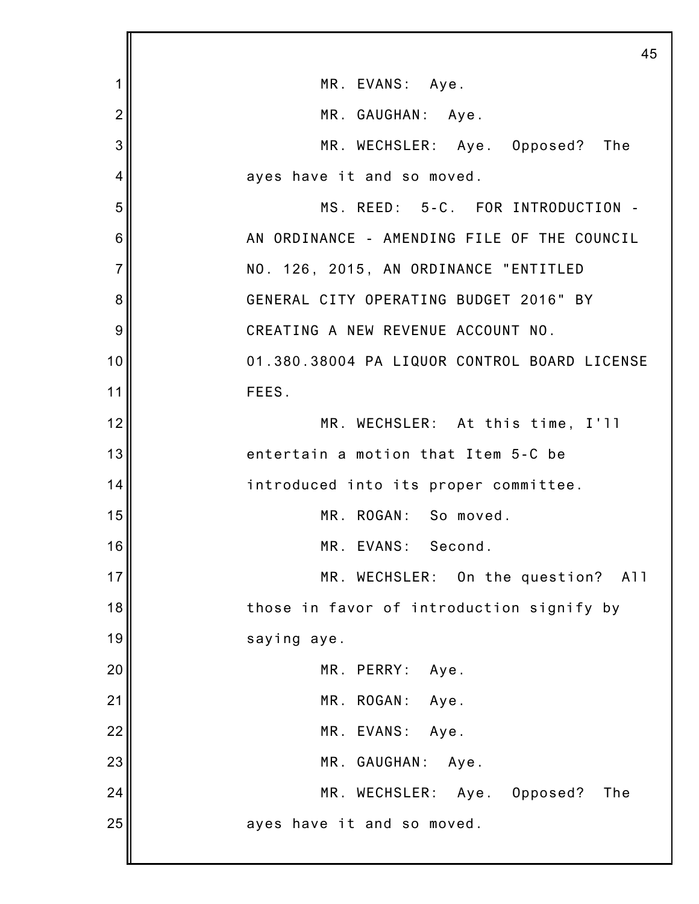|                | 45                                           |
|----------------|----------------------------------------------|
| 1              | MR. EVANS: Aye.                              |
| $\overline{2}$ | MR. GAUGHAN: Aye.                            |
| 3              | MR. WECHSLER: Aye. Opposed? The              |
| 4              | ayes have it and so moved.                   |
| 5              | MS. REED: 5-C. FOR INTRODUCTION -            |
| 6              | AN ORDINANCE - AMENDING FILE OF THE COUNCIL  |
| $\overline{7}$ | NO. 126, 2015, AN ORDINANCE "ENTITLED        |
| 8              | GENERAL CITY OPERATING BUDGET 2016" BY       |
| 9              | CREATING A NEW REVENUE ACCOUNT NO.           |
| 10             | 01.380.38004 PA LIQUOR CONTROL BOARD LICENSE |
| 11             | FEES.                                        |
| 12             | MR. WECHSLER: At this time, I'll             |
| 13             | entertain a motion that Item 5-C be          |
| 14             | introduced into its proper committee.        |
| 15             | MR. ROGAN: So moved.                         |
| 16             | MR. EVANS:<br>Second.                        |
| 17             | MR. WECHSLER: On the question?<br>A11        |
| 18             | those in favor of introduction signify by    |
| 19             | saying aye.                                  |
| 20             | MR. PERRY:<br>Aye.                           |
| 21             | MR. ROGAN:<br>Aye.                           |
| 22             | MR. EVANS:<br>Aye.                           |
| 23             | MR. GAUGHAN:<br>Aye.                         |
| 24             | MR. WECHSLER: Aye.<br>Opposed?<br>The        |
| 25             | ayes have it and so moved.                   |
|                |                                              |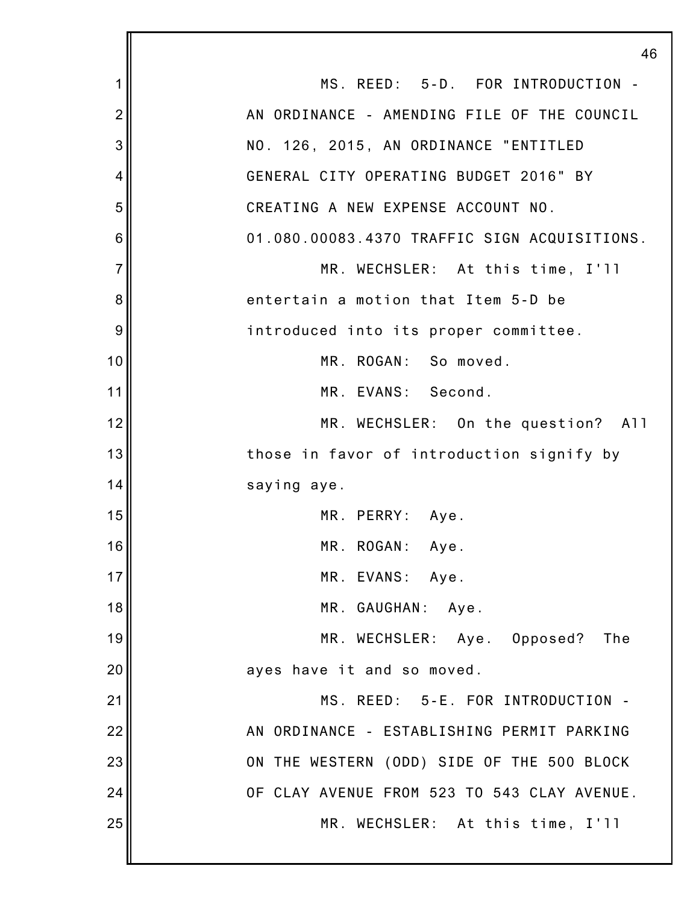|                | 46                                           |
|----------------|----------------------------------------------|
| 1              | MS. REED: 5-D. FOR INTRODUCTION -            |
| $\overline{2}$ | AN ORDINANCE - AMENDING FILE OF THE COUNCIL  |
| 3              | NO. 126, 2015, AN ORDINANCE "ENTITLED        |
| 4              | GENERAL CITY OPERATING BUDGET 2016" BY       |
| 5              | CREATING A NEW EXPENSE ACCOUNT NO.           |
| 6              | 01.080.00083.4370 TRAFFIC SIGN ACQUISITIONS. |
| $\overline{7}$ | MR. WECHSLER: At this time, I'll             |
| 8              | entertain a motion that Item 5-D be          |
| 9              | introduced into its proper committee.        |
| 10             | MR. ROGAN: So moved.                         |
| 11             | MR. EVANS: Second.                           |
| 12             | MR. WECHSLER: On the question? All           |
| 13             | those in favor of introduction signify by    |
| 14             | saying aye.                                  |
| 15             | MR. PERRY:<br>- Aye.                         |
| 16             | MR. ROGAN:<br>Aye.                           |
| 17             | MR. EVANS: Aye.                              |
| 18             | MR. GAUGHAN: Aye.                            |
| 19             | MR. WECHSLER: Aye. Opposed?<br>The           |
| 20             | ayes have it and so moved.                   |
| 21             | MS. REED: 5-E. FOR INTRODUCTION -            |
| 22             | AN ORDINANCE - ESTABLISHING PERMIT PARKING   |
| 23             | ON THE WESTERN (ODD) SIDE OF THE 500 BLOCK   |
| 24             | OF CLAY AVENUE FROM 523 TO 543 CLAY AVENUE.  |
| 25             | MR. WECHSLER: At this time, I'll             |
|                |                                              |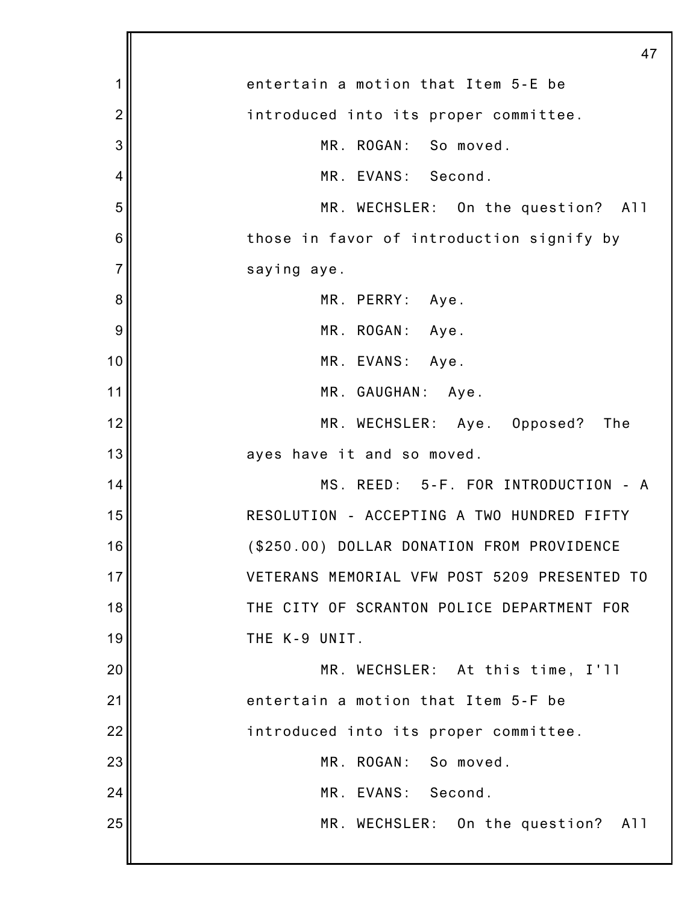1 2 3 4 5 6 7 8 9 10 11 12 13 14 15 16 17 18 19 20 21 22 23 24 25 47 entertain a motion that Item 5-E be introduced into its proper committee. MR. ROGAN: So moved. MR. EVANS: Second. MR. WECHSLER: On the question? All those in favor of introduction signify by saying aye. MR. PERRY: Aye. MR. ROGAN: Aye. MR. EVANS: Aye. MR. GAUGHAN: Aye. MR. WECHSLER: Aye. Opposed? The ayes have it and so moved. MS. REED: 5-F. FOR INTRODUCTION - A RESOLUTION - ACCEPTING A TWO HUNDRED FIFTY (\$250.00) DOLLAR DONATION FROM PROVIDENCE VETERANS MEMORIAL VFW POST 5209 PRESENTED TO THE CITY OF SCRANTON POLICE DEPARTMENT FOR THE K-9 UNIT. MR. WECHSLER: At this time, I'll entertain a motion that Item 5-F be introduced into its proper committee. MR. ROGAN: So moved. MR. EVANS: Second. MR. WECHSLER: On the question? All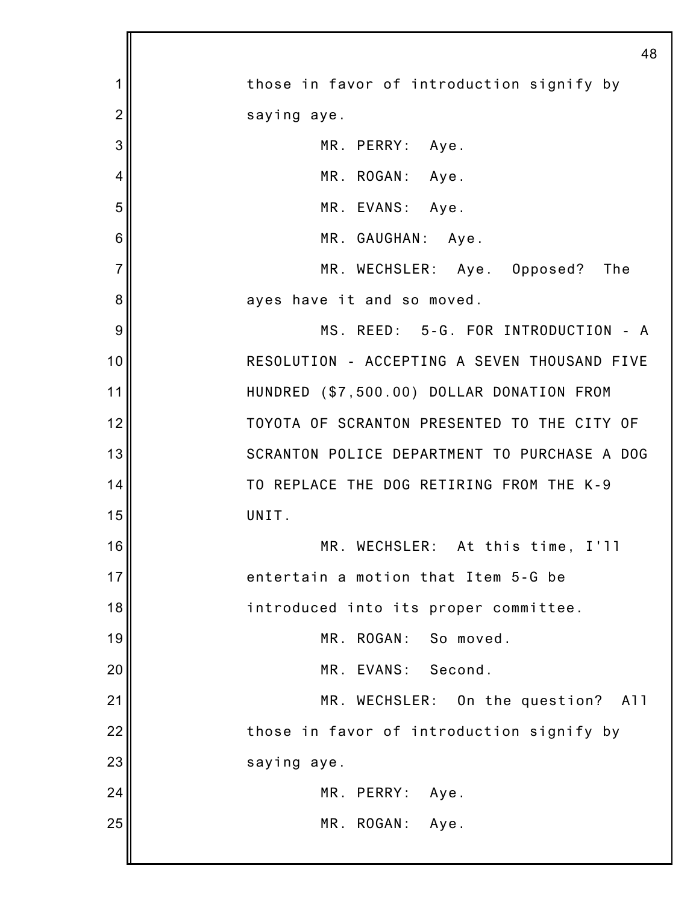|                | 48                                           |
|----------------|----------------------------------------------|
| 1              | those in favor of introduction signify by    |
| $\overline{2}$ | saying aye.                                  |
| 3              | MR. PERRY: Aye.                              |
| 4              | MR. ROGAN: Aye.                              |
| 5              | MR. EVANS: Aye.                              |
| 6              | MR. GAUGHAN: Aye.                            |
| $\overline{7}$ | MR. WECHSLER: Aye. Opposed? The              |
| 8              | ayes have it and so moved.                   |
| 9              | MS. REED: 5-G. FOR INTRODUCTION - A          |
| 10             | RESOLUTION - ACCEPTING A SEVEN THOUSAND FIVE |
| 11             | HUNDRED (\$7,500.00) DOLLAR DONATION FROM    |
| 12             | TOYOTA OF SCRANTON PRESENTED TO THE CITY OF  |
| 13             | SCRANTON POLICE DEPARTMENT TO PURCHASE A DOG |
| 14             | TO REPLACE THE DOG RETIRING FROM THE K-9     |
| 15             | UNIT.                                        |
| 16             | MR. WECHSLER: At this time, I'll             |
| 17             | entertain a motion that Item 5-G be          |
| 18             | introduced into its proper committee.        |
| 19             | MR. ROGAN: So moved.                         |
| 20             | MR. EVANS: Second.                           |
| 21             | MR. WECHSLER: On the question? All           |
| 22             | those in favor of introduction signify by    |
| 23             | saying aye.                                  |
| 24             | MR. PERRY:<br>Aye.                           |
| 25             | MR. ROGAN: Aye.                              |
|                |                                              |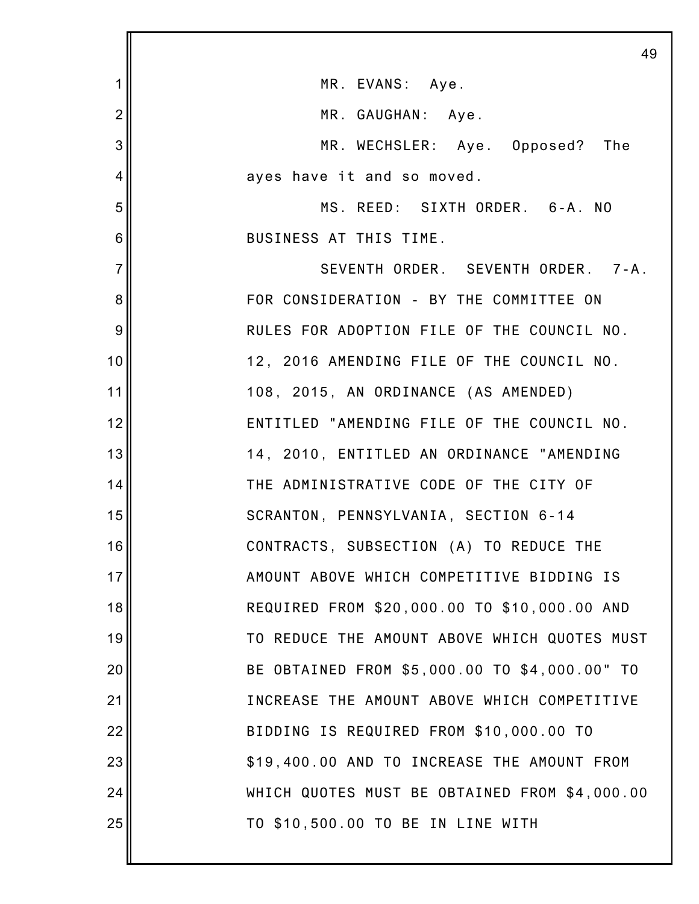|                | 49                                            |
|----------------|-----------------------------------------------|
| 1              | MR. EVANS: Aye.                               |
| $\overline{2}$ | MR. GAUGHAN: Aye.                             |
| 3              | MR. WECHSLER: Aye. Opposed? The               |
| 4              | ayes have it and so moved.                    |
| 5              | MS. REED: SIXTH ORDER. 6-A. NO                |
| 6              | BUSINESS AT THIS TIME.                        |
| $\overline{7}$ | SEVENTH ORDER. SEVENTH ORDER. 7-A.            |
| 8              | FOR CONSIDERATION - BY THE COMMITTEE ON       |
| 9              | RULES FOR ADOPTION FILE OF THE COUNCIL NO.    |
| 10             | 12, 2016 AMENDING FILE OF THE COUNCIL NO.     |
| 11             | 108, 2015, AN ORDINANCE (AS AMENDED)          |
| 12             | ENTITLED "AMENDING FILE OF THE COUNCIL NO.    |
| 13             | 14, 2010, ENTITLED AN ORDINANCE "AMENDING     |
| 14             | THE ADMINISTRATIVE CODE OF THE CITY OF        |
| 15             | SCRANTON, PENNSYLVANIA, SECTION 6-14          |
| 16             | CONTRACTS, SUBSECTION (A) TO REDUCE THE       |
| 17             | AMOUNT ABOVE WHICH COMPETITIVE BIDDING IS     |
| 18             | REQUIRED FROM \$20,000.00 TO \$10,000.00 AND  |
| 19             | TO REDUCE THE AMOUNT ABOVE WHICH QUOTES MUST  |
| 20             | BE OBTAINED FROM \$5,000.00 TO \$4,000.00" TO |
| 21             | INCREASE THE AMOUNT ABOVE WHICH COMPETITIVE   |
| 22             | BIDDING IS REQUIRED FROM \$10,000.00 TO       |
| 23             | \$19,400.00 AND TO INCREASE THE AMOUNT FROM   |
| 24             | WHICH QUOTES MUST BE OBTAINED FROM \$4,000.00 |
| 25             | TO \$10,500.00 TO BE IN LINE WITH             |
|                |                                               |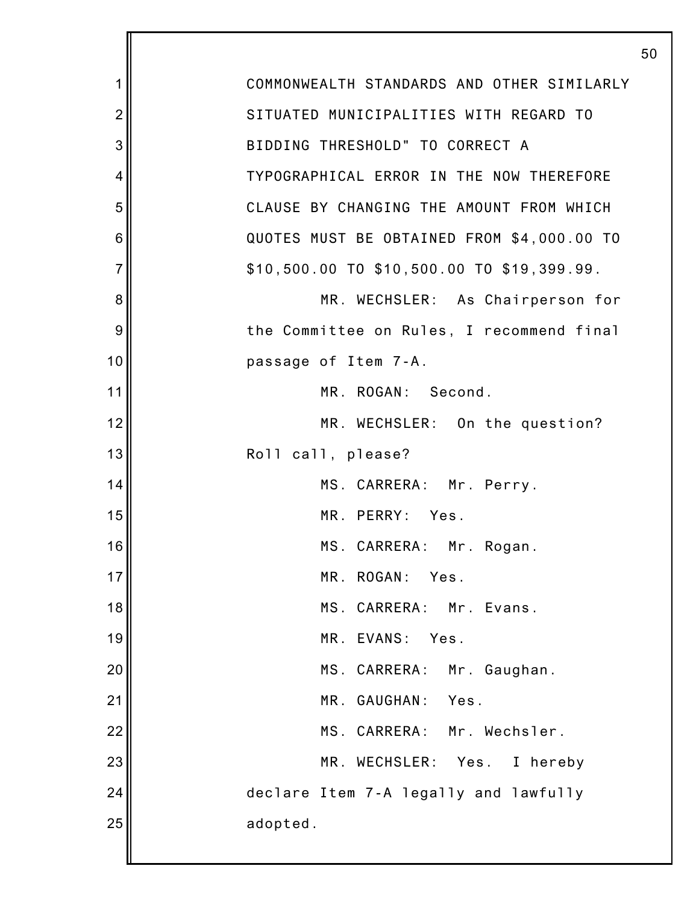| 1               | COMMONWEALTH STANDARDS AND OTHER SIMILARLY |
|-----------------|--------------------------------------------|
| $\overline{2}$  | SITUATED MUNICIPALITIES WITH REGARD TO     |
| 3               | BIDDING THRESHOLD" TO CORRECT A            |
| 4               | TYPOGRAPHICAL ERROR IN THE NOW THEREFORE   |
| 5               | CLAUSE BY CHANGING THE AMOUNT FROM WHICH   |
| $6\phantom{1}6$ | QUOTES MUST BE OBTAINED FROM \$4,000.00 TO |
| $\overline{7}$  | \$10,500.00 TO \$10,500.00 TO \$19,399.99. |
| 8               | MR. WECHSLER: As Chairperson for           |
| 9               | the Committee on Rules, I recommend final  |
| 10              | passage of Item 7-A.                       |
| 11              | MR. ROGAN: Second.                         |
| 12              | MR. WECHSLER: On the question?             |
| 13              | Roll call, please?                         |
| 14              | MS. CARRERA: Mr. Perry.                    |
| 15              | MR. PERRY: Yes.                            |
| 16              | MS. CARRERA: Mr. Rogan.                    |
| 17              | ROGAN:<br>Yes.<br>MR.                      |
| 18              | MS. CARRERA: Mr. Evans.                    |
| 19              | MR.<br>EVANS:<br>Yes.                      |
| 20              | MS. CARRERA: Mr. Gaughan.                  |
| 21              | Yes.<br>MR.<br>GAUGHAN:                    |
| 22              | MS. CARRERA: Mr. Wechsler.                 |
| 23              | MR. WECHSLER: Yes.<br>I hereby             |
| 24              | declare Item 7-A legally and lawfully      |
| 25              | adopted.                                   |
|                 |                                            |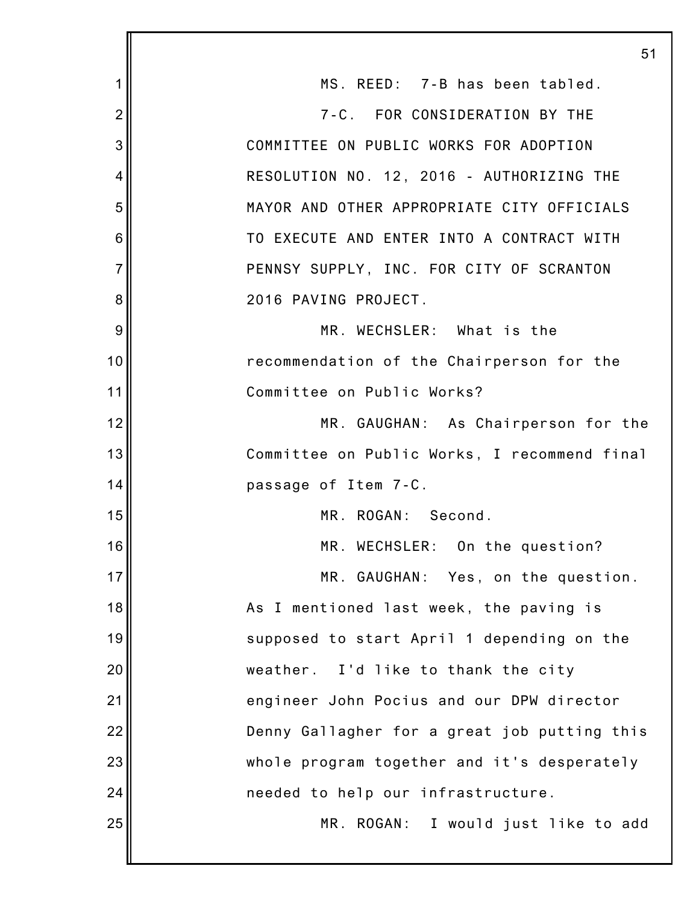|                | 51                                           |
|----------------|----------------------------------------------|
| 1              | MS. REED: 7-B has been tabled.               |
| $\overline{2}$ | 7-C. FOR CONSIDERATION BY THE                |
| 3              | COMMITTEE ON PUBLIC WORKS FOR ADOPTION       |
| 4              | RESOLUTION NO. 12, 2016 - AUTHORIZING THE    |
| 5              | MAYOR AND OTHER APPROPRIATE CITY OFFICIALS   |
| 6              | TO EXECUTE AND ENTER INTO A CONTRACT WITH    |
| $\overline{7}$ | PENNSY SUPPLY, INC. FOR CITY OF SCRANTON     |
| 8              | 2016 PAVING PROJECT.                         |
| 9              | MR. WECHSLER: What is the                    |
| 10             | recommendation of the Chairperson for the    |
| 11             | Committee on Public Works?                   |
| 12             | MR. GAUGHAN: As Chairperson for the          |
| 13             | Committee on Public Works, I recommend final |
| 14             | passage of Item 7-C.                         |
| 15             | MR. ROGAN: Second.                           |
| 16             | MR. WECHSLER: On the question?               |
| 17             | MR. GAUGHAN: Yes, on the question.           |
| 18             | As I mentioned last week, the paving is      |
| 19             | supposed to start April 1 depending on the   |
| 20             | weather. I'd like to thank the city          |
| 21             | engineer John Pocius and our DPW director    |
| 22             | Denny Gallagher for a great job putting this |
| 23             | whole program together and it's desperately  |
| 24             | needed to help our infrastructure.           |
| 25             | MR. ROGAN: I would just like to add          |
|                |                                              |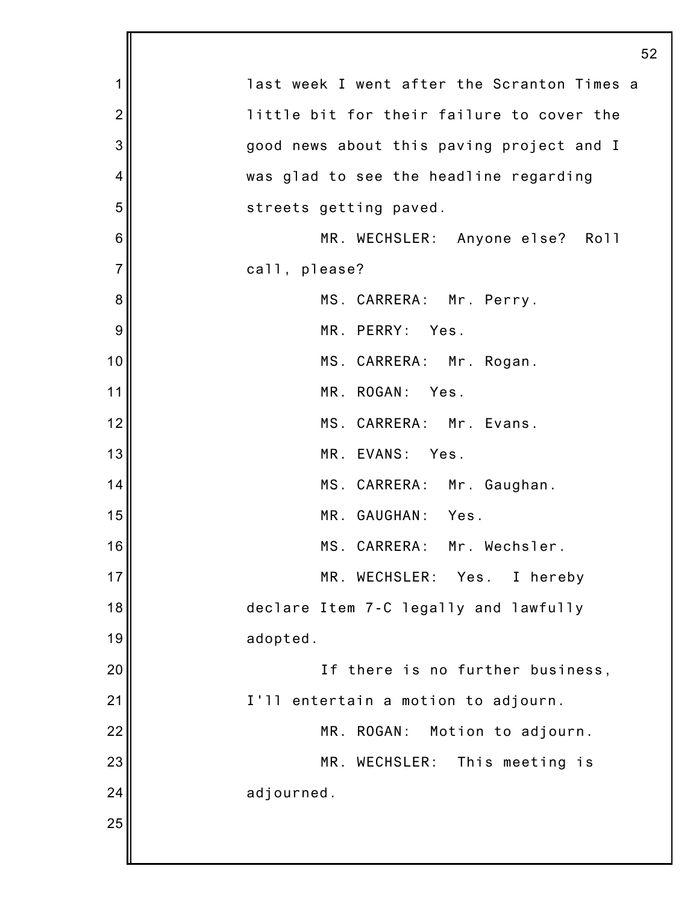| 1              | last week I went after the Scranton Times a |
|----------------|---------------------------------------------|
| $\overline{2}$ | little bit for their failure to cover the   |
| 3              | good news about this paving project and I   |
| 4              | was glad to see the headline regarding      |
| 5              | streets getting paved.                      |
| 6              | MR. WECHSLER: Anyone else? Roll             |
| $\overline{7}$ | call, please?                               |
| 8              | MS. CARRERA: Mr. Perry.                     |
| 9              | MR. PERRY: Yes.                             |
| 10             | MS. CARRERA: Mr. Rogan.                     |
| 11             | MR. ROGAN: Yes.                             |
| 12             | MS. CARRERA: Mr. Evans.                     |
| 13             | MR. EVANS: Yes.                             |
| 14             | MS. CARRERA: Mr. Gaughan.                   |
| 15             | MR. GAUGHAN: Yes.                           |
| 16             | MS. CARRERA:<br>Mr. Wechsler.               |
| 17             | MR. WECHSLER:<br>Yes.<br>I hereby           |
| 18             | declare Item 7-C legally and lawfully       |
| 19             | adopted.                                    |
| 20             | If there is no further business,            |
| 21             | I'll entertain a motion to adjourn.         |
| 22             | MR.<br>ROGAN:<br>Motion to adjourn.         |
| 23             | MR. WECHSLER:<br>This meeting is            |
| 24             | adjourned.                                  |
| 25             |                                             |
|                |                                             |